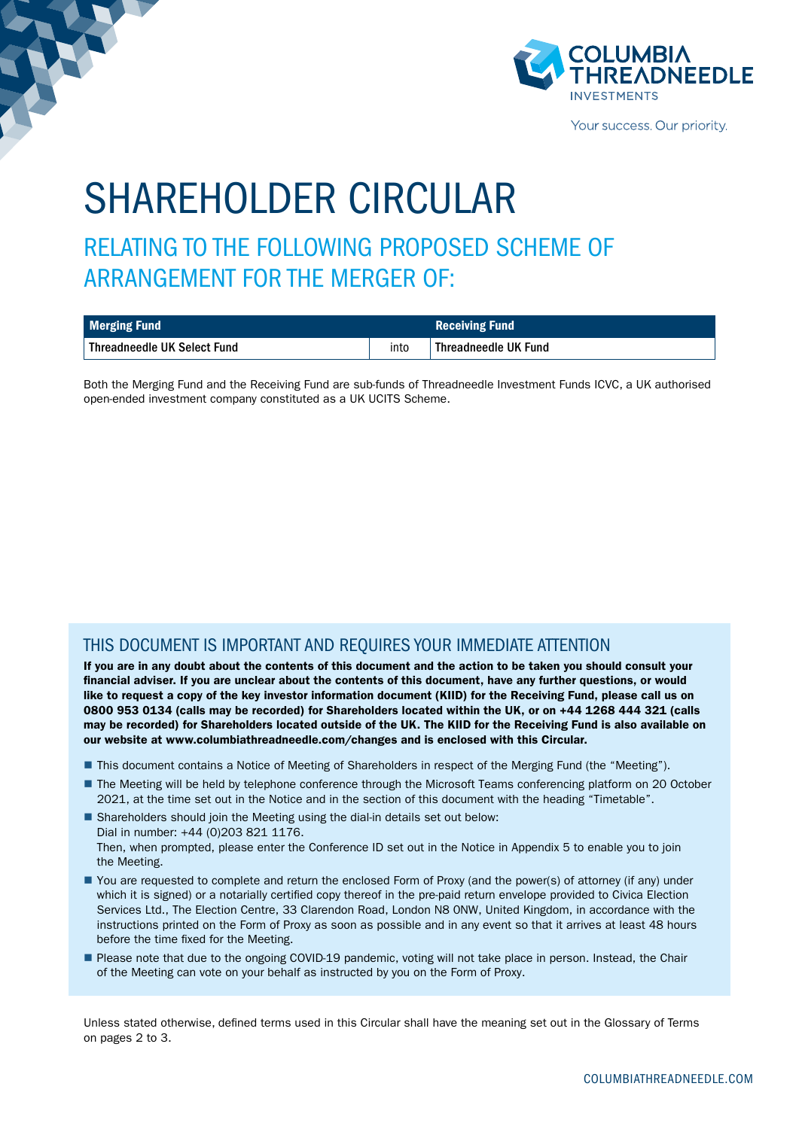

Your success. Our priority.

# SHAREHOLDER CIRCULAR

RELATING TO THE FOLLOWING PROPOSED SCHEME OF ARRANGEMENT FOR THE MERGER OF:

| Merging Fund                  |      | <b>Receiving Fund</b> |
|-------------------------------|------|-----------------------|
| ↓ Threadneedle UK Select Fund | into | Threadneedle UK Fund  |

Both the Merging Fund and the Receiving Fund are sub-funds of Threadneedle Investment Funds ICVC, a UK authorised open-ended investment company constituted as a UK UCITS Scheme.

### THIS DOCUMENT IS IMPORTANT AND REQUIRES YOUR IMMEDIATE ATTENTION

If you are in any doubt about the contents of this document and the action to be taken you should consult your financial adviser. If you are unclear about the contents of this document, have any further questions, or would like to request a copy of the key investor information document (KIID) for the Receiving Fund, please call us on 0800 953 0134 (calls may be recorded) for Shareholders located within the UK, or on +44 1268 444 321 (calls may be recorded) for Shareholders located outside of the UK. The KIID for the Receiving Fund is also available on our website at www.columbiathreadneedle.com/changes and is enclosed with this Circular.

- This document contains a Notice of Meeting of Shareholders in respect of the Merging Fund (the "Meeting").
- The Meeting will be held by telephone conference through the Microsoft Teams conferencing platform on 20 October 2021, at the time set out in the Notice and in the section of this document with the heading "Timetable".
- Shareholders should join the Meeting using the dial-in details set out below: Dial in number: +44 (0)203 821 1176. Then, when prompted, please enter the Conference ID set out in the Notice in Appendix 5 to enable you to join the Meeting.
- You are requested to complete and return the enclosed Form of Proxy (and the power(s) of attorney (if any) under which it is signed) or a notarially certified copy thereof in the pre-paid return envelope provided to Civica Election Services Ltd., The Election Centre, 33 Clarendon Road, London N8 0NW, United Kingdom, in accordance with the instructions printed on the Form of Proxy as soon as possible and in any event so that it arrives at least 48 hours before the time fixed for the Meeting.
- Please note that due to the ongoing COVID-19 pandemic, voting will not take place in person. Instead, the Chair of the Meeting can vote on your behalf as instructed by you on the Form of Proxy.

Unless stated otherwise, defined terms used in this Circular shall have the meaning set out in the Glossary of Terms on pages 2 to 3.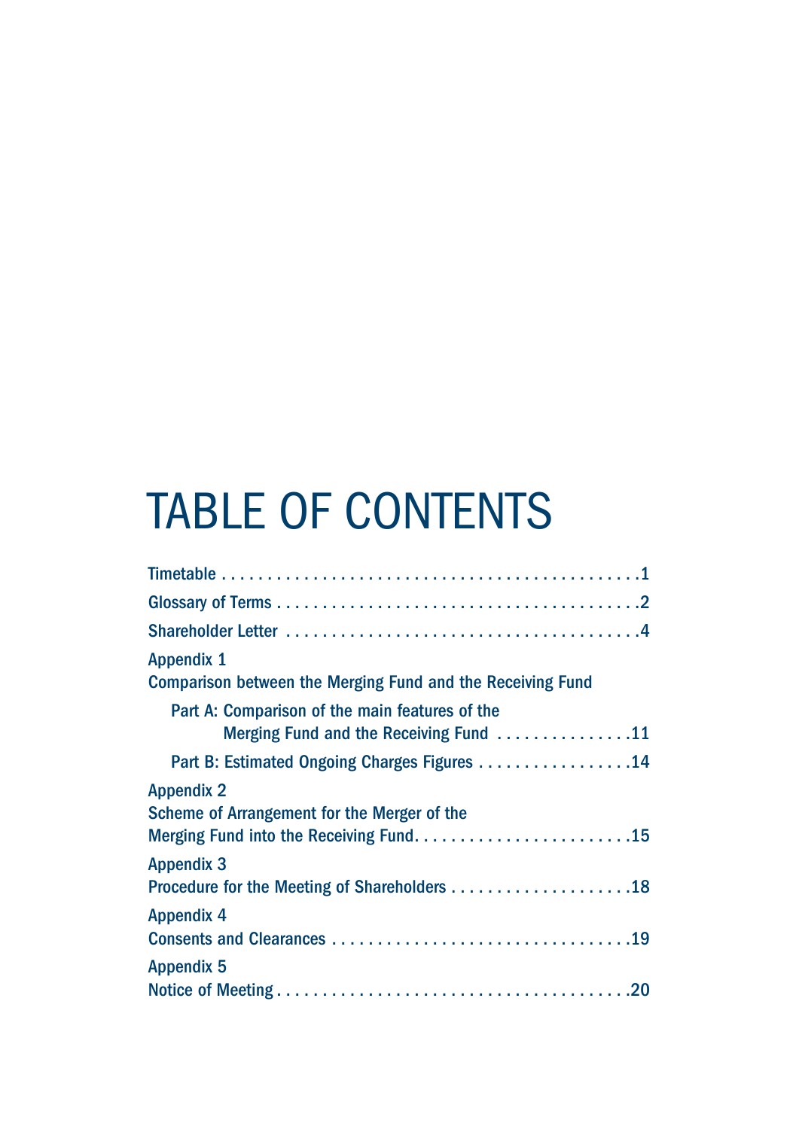# TABLE OF CONTENTS

| <b>Appendix 1</b>                                                 |
|-------------------------------------------------------------------|
| <b>Comparison between the Merging Fund and the Receiving Fund</b> |
| Part A: Comparison of the main features of the                    |
| Merging Fund and the Receiving Fund 11                            |
| Part B: Estimated Ongoing Charges Figures 14                      |
| <b>Appendix 2</b>                                                 |
| Scheme of Arrangement for the Merger of the                       |
|                                                                   |
| <b>Appendix 3</b>                                                 |
|                                                                   |
| <b>Appendix 4</b>                                                 |
|                                                                   |
| <b>Appendix 5</b>                                                 |
|                                                                   |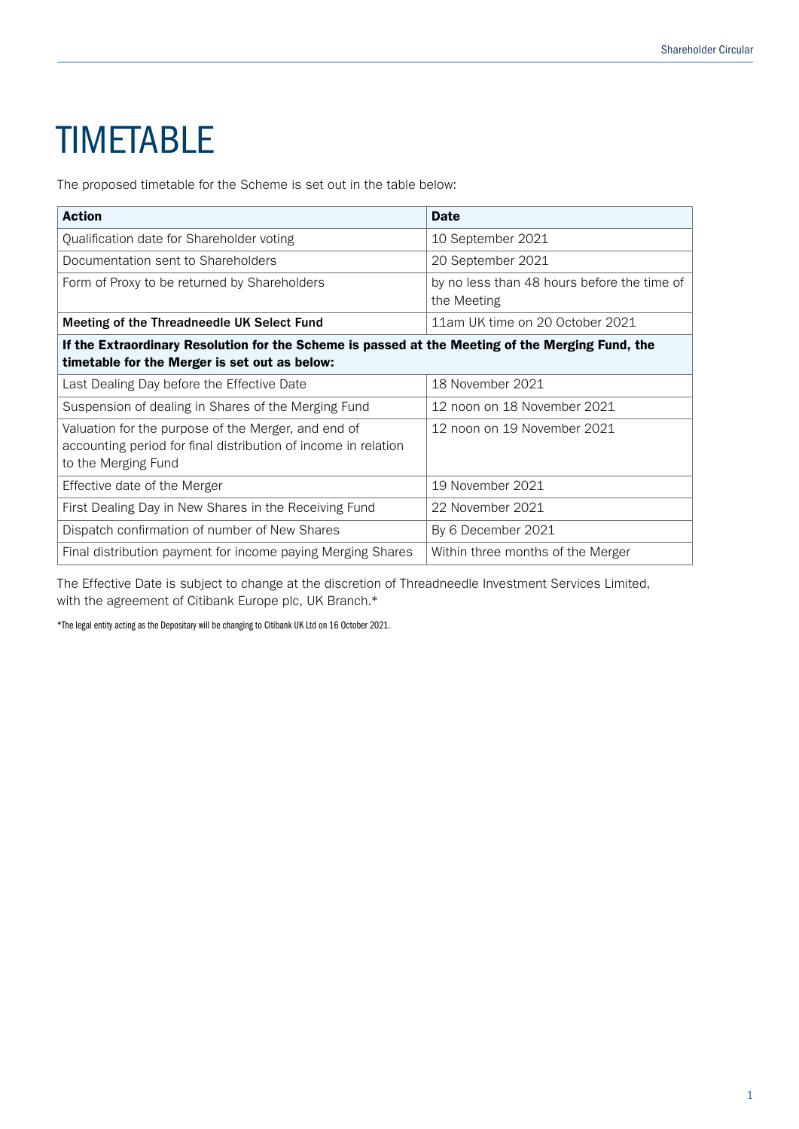# **TIMETABLE**

The proposed timetable for the Scheme is set out in the table below:

| <b>Action</b>                                                                                                                                     | <b>Date</b>                                                |
|---------------------------------------------------------------------------------------------------------------------------------------------------|------------------------------------------------------------|
| Qualification date for Shareholder voting                                                                                                         | 10 September 2021                                          |
| Documentation sent to Shareholders                                                                                                                | 20 September 2021                                          |
| Form of Proxy to be returned by Shareholders                                                                                                      | by no less than 48 hours before the time of<br>the Meeting |
| Meeting of the Threadneedle UK Select Fund                                                                                                        | 11am UK time on 20 October 2021                            |
| If the Extraordinary Resolution for the Scheme is passed at the Meeting of the Merging Fund, the<br>timetable for the Merger is set out as below: |                                                            |
| Last Dealing Day before the Effective Date                                                                                                        | 18 November 2021                                           |
| Suspension of dealing in Shares of the Merging Fund                                                                                               | 12 noon on 18 November 2021                                |
| Valuation for the purpose of the Merger, and end of<br>accounting period for final distribution of income in relation<br>to the Merging Fund      | 12 noon on 19 November 2021                                |
| Effective date of the Merger                                                                                                                      | 19 November 2021                                           |
| First Dealing Day in New Shares in the Receiving Fund                                                                                             | 22 November 2021                                           |
| Dispatch confirmation of number of New Shares                                                                                                     | By 6 December 2021                                         |
| Final distribution payment for income paying Merging Shares                                                                                       | Within three months of the Merger                          |

The Effective Date is subject to change at the discretion of Threadneedle Investment Services Limited, with the agreement of Citibank Europe plc, UK Branch.\*

\*The legal entity acting as the Depositary will be changing to Citibank UK Ltd on 16 October 2021.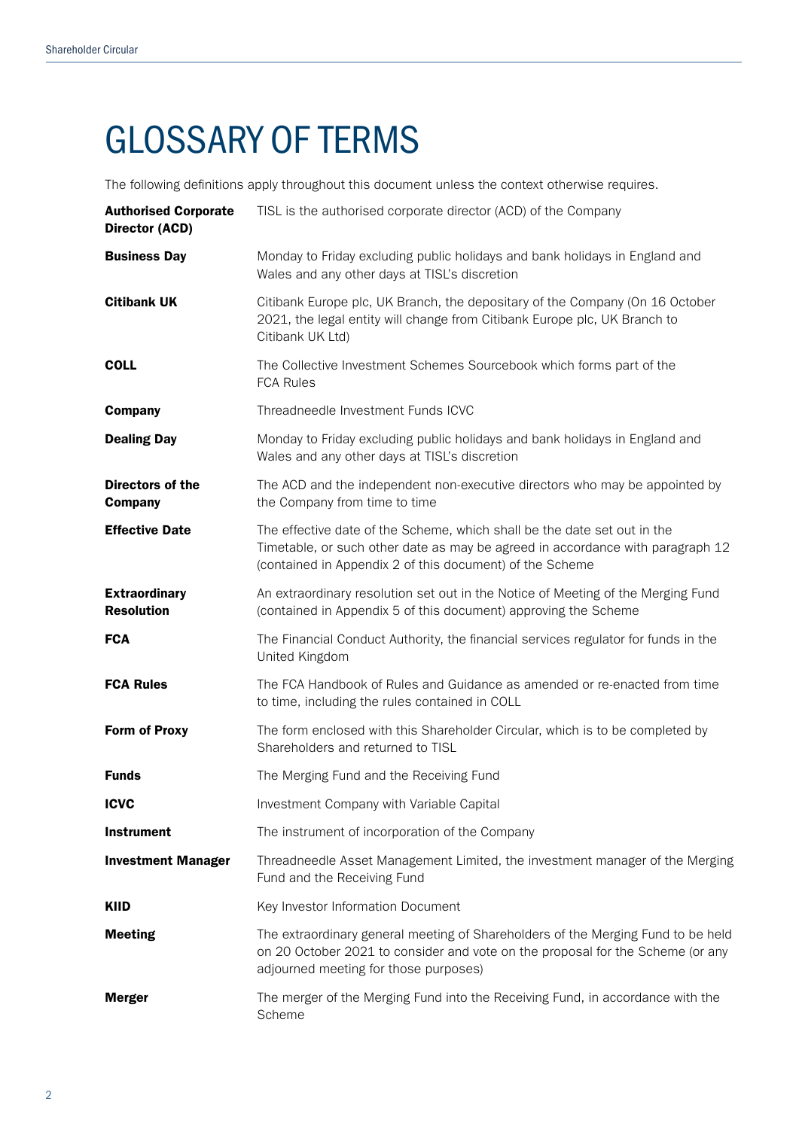# GLOSSARY OF TERMS

The following definitions apply throughout this document unless the context otherwise requires.

| <b>Authorised Corporate</b><br><b>Director (ACD)</b> | TISL is the authorised corporate director (ACD) of the Company                                                                                                                                                         |
|------------------------------------------------------|------------------------------------------------------------------------------------------------------------------------------------------------------------------------------------------------------------------------|
| <b>Business Day</b>                                  | Monday to Friday excluding public holidays and bank holidays in England and<br>Wales and any other days at TISL's discretion                                                                                           |
| <b>Citibank UK</b>                                   | Citibank Europe plc, UK Branch, the depositary of the Company (On 16 October<br>2021, the legal entity will change from Citibank Europe plc, UK Branch to<br>Citibank UK Ltd)                                          |
| <b>COLL</b>                                          | The Collective Investment Schemes Sourcebook which forms part of the<br><b>FCA Rules</b>                                                                                                                               |
| <b>Company</b>                                       | Threadneedle Investment Funds ICVC                                                                                                                                                                                     |
| <b>Dealing Day</b>                                   | Monday to Friday excluding public holidays and bank holidays in England and<br>Wales and any other days at TISL's discretion                                                                                           |
| Directors of the<br><b>Company</b>                   | The ACD and the independent non-executive directors who may be appointed by<br>the Company from time to time                                                                                                           |
| <b>Effective Date</b>                                | The effective date of the Scheme, which shall be the date set out in the<br>Timetable, or such other date as may be agreed in accordance with paragraph 12<br>(contained in Appendix 2 of this document) of the Scheme |
| <b>Extraordinary</b><br><b>Resolution</b>            | An extraordinary resolution set out in the Notice of Meeting of the Merging Fund<br>(contained in Appendix 5 of this document) approving the Scheme                                                                    |
| <b>FCA</b>                                           | The Financial Conduct Authority, the financial services regulator for funds in the<br>United Kingdom                                                                                                                   |
| <b>FCA Rules</b>                                     | The FCA Handbook of Rules and Guidance as amended or re-enacted from time<br>to time, including the rules contained in COLL                                                                                            |
| <b>Form of Proxy</b>                                 | The form enclosed with this Shareholder Circular, which is to be completed by<br>Shareholders and returned to TISL                                                                                                     |
| <b>Funds</b>                                         | The Merging Fund and the Receiving Fund                                                                                                                                                                                |
| <b>ICVC</b>                                          | Investment Company with Variable Capital                                                                                                                                                                               |
| <b>Instrument</b>                                    | The instrument of incorporation of the Company                                                                                                                                                                         |
| <b>Investment Manager</b>                            | Threadneedle Asset Management Limited, the investment manager of the Merging<br>Fund and the Receiving Fund                                                                                                            |
| <b>KIID</b>                                          | Key Investor Information Document                                                                                                                                                                                      |
| <b>Meeting</b>                                       | The extraordinary general meeting of Shareholders of the Merging Fund to be held<br>on 20 October 2021 to consider and vote on the proposal for the Scheme (or any<br>adjourned meeting for those purposes)            |
| <b>Merger</b>                                        | The merger of the Merging Fund into the Receiving Fund, in accordance with the<br>Scheme                                                                                                                               |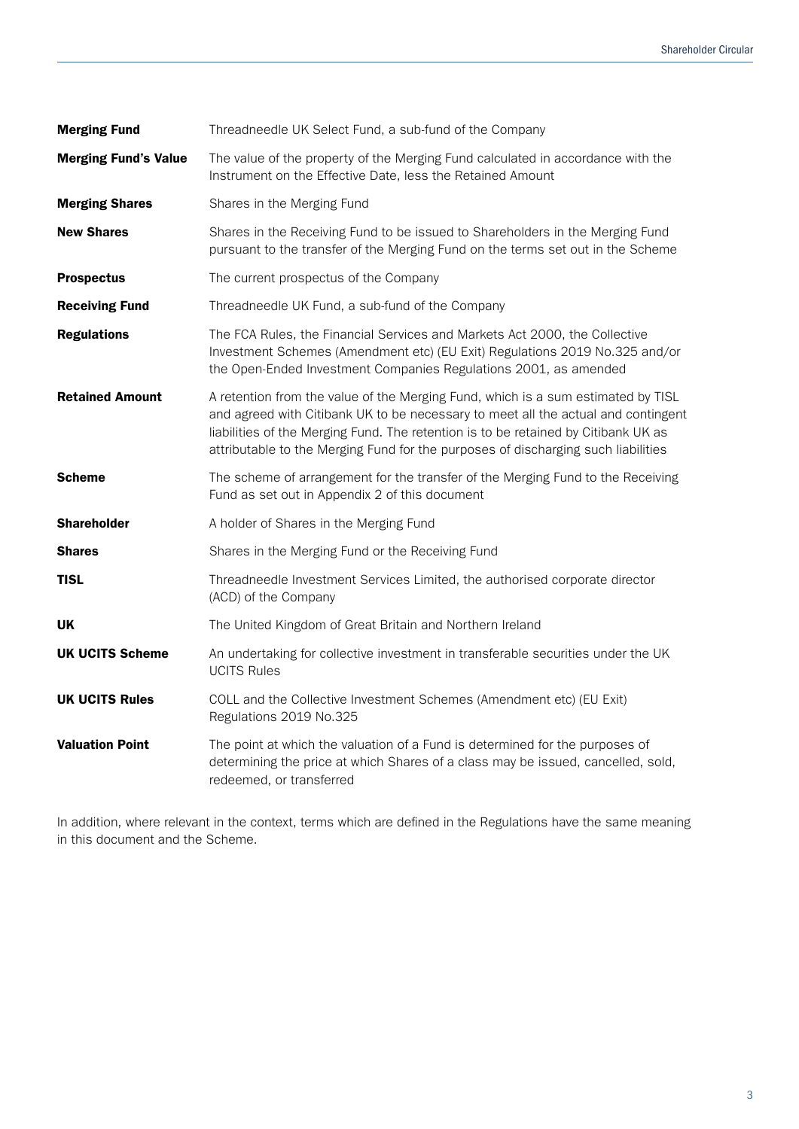| <b>Merging Fund</b>         | Threadneedle UK Select Fund, a sub-fund of the Company                                                                                                                                                                                                                                                                                           |
|-----------------------------|--------------------------------------------------------------------------------------------------------------------------------------------------------------------------------------------------------------------------------------------------------------------------------------------------------------------------------------------------|
| <b>Merging Fund's Value</b> | The value of the property of the Merging Fund calculated in accordance with the<br>Instrument on the Effective Date, less the Retained Amount                                                                                                                                                                                                    |
| <b>Merging Shares</b>       | Shares in the Merging Fund                                                                                                                                                                                                                                                                                                                       |
| <b>New Shares</b>           | Shares in the Receiving Fund to be issued to Shareholders in the Merging Fund<br>pursuant to the transfer of the Merging Fund on the terms set out in the Scheme                                                                                                                                                                                 |
| <b>Prospectus</b>           | The current prospectus of the Company                                                                                                                                                                                                                                                                                                            |
| <b>Receiving Fund</b>       | Threadneedle UK Fund, a sub-fund of the Company                                                                                                                                                                                                                                                                                                  |
| <b>Regulations</b>          | The FCA Rules, the Financial Services and Markets Act 2000, the Collective<br>Investment Schemes (Amendment etc) (EU Exit) Regulations 2019 No.325 and/or<br>the Open-Ended Investment Companies Regulations 2001, as amended                                                                                                                    |
| <b>Retained Amount</b>      | A retention from the value of the Merging Fund, which is a sum estimated by TISL<br>and agreed with Citibank UK to be necessary to meet all the actual and contingent<br>liabilities of the Merging Fund. The retention is to be retained by Citibank UK as<br>attributable to the Merging Fund for the purposes of discharging such liabilities |
| <b>Scheme</b>               | The scheme of arrangement for the transfer of the Merging Fund to the Receiving<br>Fund as set out in Appendix 2 of this document                                                                                                                                                                                                                |
| <b>Shareholder</b>          | A holder of Shares in the Merging Fund                                                                                                                                                                                                                                                                                                           |
| <b>Shares</b>               | Shares in the Merging Fund or the Receiving Fund                                                                                                                                                                                                                                                                                                 |
| <b>TISL</b>                 | Threadneedle Investment Services Limited, the authorised corporate director<br>(ACD) of the Company                                                                                                                                                                                                                                              |
| UK                          | The United Kingdom of Great Britain and Northern Ireland                                                                                                                                                                                                                                                                                         |
| <b>UK UCITS Scheme</b>      | An undertaking for collective investment in transferable securities under the UK<br><b>UCITS Rules</b>                                                                                                                                                                                                                                           |
| <b>UK UCITS Rules</b>       | COLL and the Collective Investment Schemes (Amendment etc) (EU Exit)<br>Regulations 2019 No.325                                                                                                                                                                                                                                                  |
| <b>Valuation Point</b>      | The point at which the valuation of a Fund is determined for the purposes of<br>determining the price at which Shares of a class may be issued, cancelled, sold,<br>redeemed, or transferred                                                                                                                                                     |

In addition, where relevant in the context, terms which are defined in the Regulations have the same meaning in this document and the Scheme.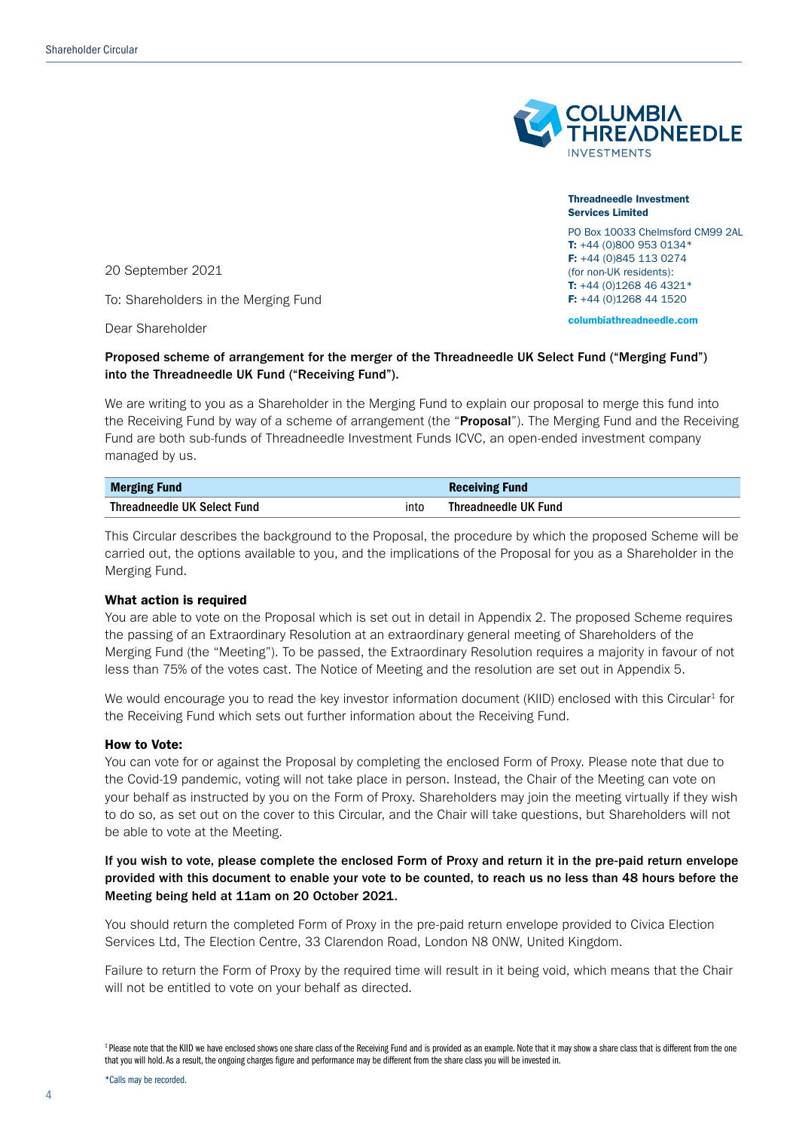

Threadneedle Investment Services Limited PO Box 10033 Chelmsford CM99 2AL

T: +44 (0)800 953 0134\* F: +44 (0)845 113 0274 (for non-UK residents): T: +44 (0)1268 46 4321\* F: +44 (0)1268 44 1520 columbiathreadneedle.com

20 September 2021

To: Shareholders in the Merging Fund

Dear Shareholder

### Proposed scheme of arrangement for the merger of the Threadneedle UK Select Fund ("Merging Fund") into the Threadneedle UK Fund ("Receiving Fund").

We are writing to you as a Shareholder in the Merging Fund to explain our proposal to merge this fund into the Receiving Fund by way of a scheme of arrangement (the "**Proposal**"). The Merging Fund and the Receiving Fund are both sub-funds of Threadneedle Investment Funds ICVC, an open-ended investment company managed by us.

| <b>Merging Fund</b>                 |  | <b>Receiving Fund</b> |
|-------------------------------------|--|-----------------------|
| Threadneedle UK Select Fund<br>into |  | Threadneedle UK Fund  |

This Circular describes the background to the Proposal, the procedure by which the proposed Scheme will be carried out, the options available to you, and the implications of the Proposal for you as a Shareholder in the Merging Fund.

### What action is required

You are able to vote on the Proposal which is set out in detail in Appendix 2. The proposed Scheme requires the passing of an Extraordinary Resolution at an extraordinary general meeting of Shareholders of the Merging Fund (the "Meeting"). To be passed, the Extraordinary Resolution requires a majority in favour of not less than 75% of the votes cast. The Notice of Meeting and the resolution are set out in Appendix 5.

We would encourage you to read the key investor information document (KIID) enclosed with this Circular<sup>1</sup> for the Receiving Fund which sets out further information about the Receiving Fund.

#### How to Vote:

You can vote for or against the Proposal by completing the enclosed Form of Proxy. Please note that due to the Covid-19 pandemic, voting will not take place in person. Instead, the Chair of the Meeting can vote on your behalf as instructed by you on the Form of Proxy. Shareholders may join the meeting virtually if they wish to do so, as set out on the cover to this Circular, and the Chair will take questions, but Shareholders will not be able to vote at the Meeting.

### If you wish to vote, please complete the enclosed Form of Proxy and return it in the pre-paid return envelope provided with this document to enable your vote to be counted, to reach us no less than 48 hours before the Meeting being held at 11am on 20 October 2021.

You should return the completed Form of Proxy in the pre-paid return envelope provided to Civica Election Services Ltd, The Election Centre, 33 Clarendon Road, London N8 0NW, United Kingdom.

Failure to return the Form of Proxy by the required time will result in it being void, which means that the Chair will not be entitled to vote on your behalf as directed.

<sup>&</sup>lt;sup>1</sup> Please note that the KIID we have enclosed shows one share class of the Receiving Fund and is provided as an example. Note that it may show a share class that is different from the one that you will hold. As a result, the ongoing charges figure and performance may be different from the share class you will be invested in.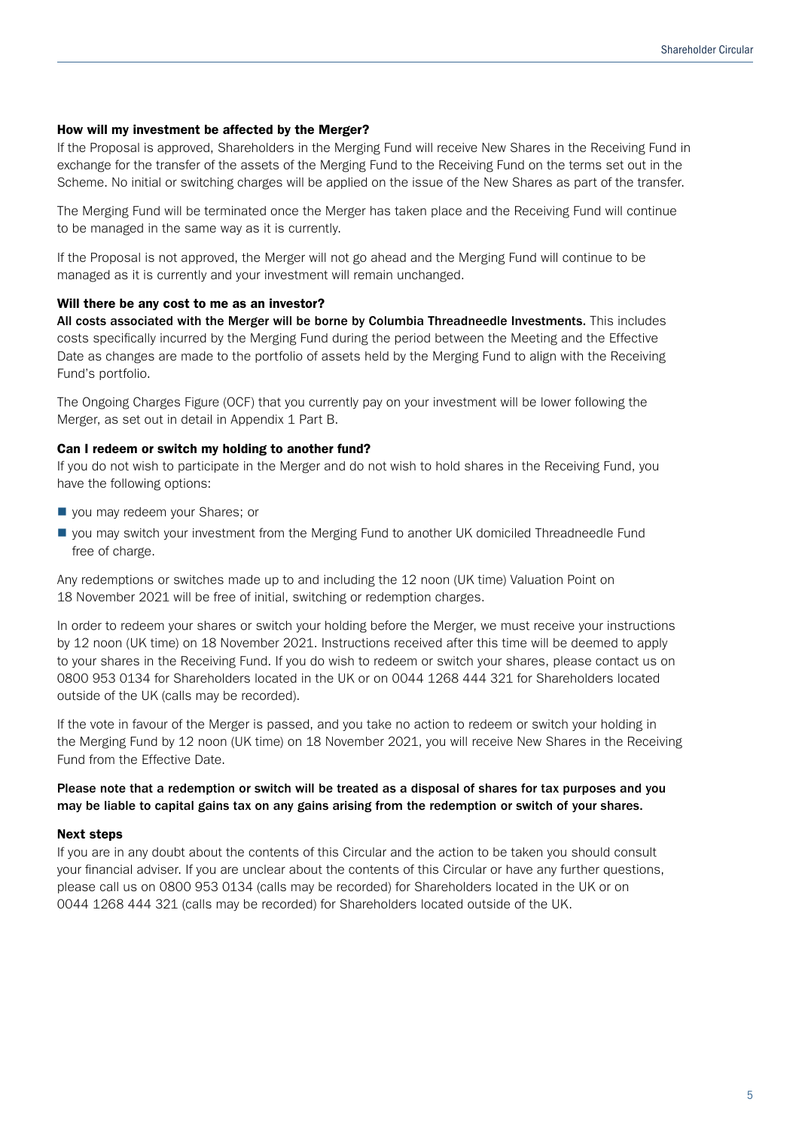#### How will my investment be affected by the Merger?

If the Proposal is approved, Shareholders in the Merging Fund will receive New Shares in the Receiving Fund in exchange for the transfer of the assets of the Merging Fund to the Receiving Fund on the terms set out in the Scheme. No initial or switching charges will be applied on the issue of the New Shares as part of the transfer.

The Merging Fund will be terminated once the Merger has taken place and the Receiving Fund will continue to be managed in the same way as it is currently.

If the Proposal is not approved, the Merger will not go ahead and the Merging Fund will continue to be managed as it is currently and your investment will remain unchanged.

### Will there be any cost to me as an investor?

All costs associated with the Merger will be borne by Columbia Threadneedle Investments. This includes costs specifically incurred by the Merging Fund during the period between the Meeting and the Effective Date as changes are made to the portfolio of assets held by the Merging Fund to align with the Receiving Fund's portfolio.

The Ongoing Charges Figure (OCF) that you currently pay on your investment will be lower following the Merger, as set out in detail in Appendix 1 Part B.

#### Can I redeem or switch my holding to another fund?

If you do not wish to participate in the Merger and do not wish to hold shares in the Receiving Fund, you have the following options:

- vou may redeem your Shares; or
- n you may switch your investment from the Merging Fund to another UK domiciled Threadneedle Fund free of charge.

Any redemptions or switches made up to and including the 12 noon (UK time) Valuation Point on 18 November 2021 will be free of initial, switching or redemption charges.

In order to redeem your shares or switch your holding before the Merger, we must receive your instructions by 12 noon (UK time) on 18 November 2021. Instructions received after this time will be deemed to apply to your shares in the Receiving Fund. If you do wish to redeem or switch your shares, please contact us on 0800 953 0134 for Shareholders located in the UK or on 0044 1268 444 321 for Shareholders located outside of the UK (calls may be recorded).

If the vote in favour of the Merger is passed, and you take no action to redeem or switch your holding in the Merging Fund by 12 noon (UK time) on 18 November 2021, you will receive New Shares in the Receiving Fund from the Effective Date.

### Please note that a redemption or switch will be treated as a disposal of shares for tax purposes and you may be liable to capital gains tax on any gains arising from the redemption or switch of your shares.

#### Next steps

If you are in any doubt about the contents of this Circular and the action to be taken you should consult your financial adviser. If you are unclear about the contents of this Circular or have any further questions, please call us on 0800 953 0134 (calls may be recorded) for Shareholders located in the UK or on 0044 1268 444 321 (calls may be recorded) for Shareholders located outside of the UK.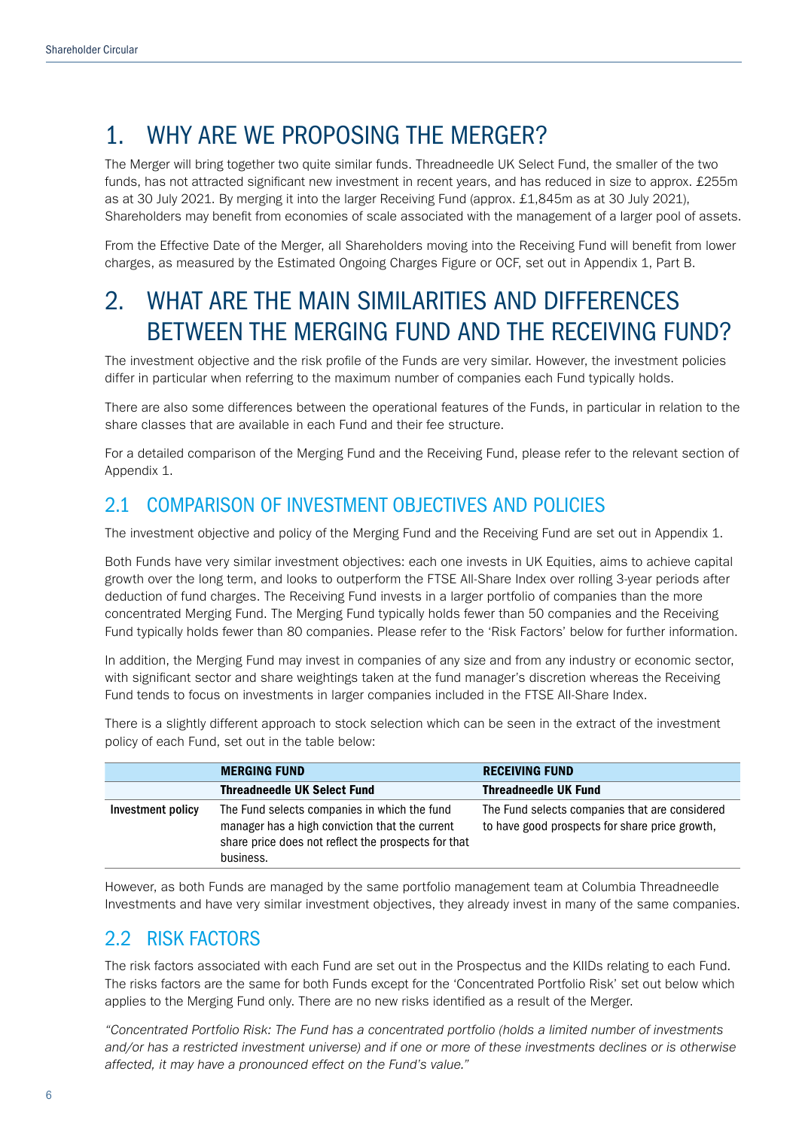## 1. WHY ARE WE PROPOSING THE MERGER?

The Merger will bring together two quite similar funds. Threadneedle UK Select Fund, the smaller of the two funds, has not attracted significant new investment in recent years, and has reduced in size to approx. £255m as at 30 July 2021. By merging it into the larger Receiving Fund (approx. £1,845m as at 30 July 2021), Shareholders may benefit from economies of scale associated with the management of a larger pool of assets.

From the Effective Date of the Merger, all Shareholders moving into the Receiving Fund will benefit from lower charges, as measured by the Estimated Ongoing Charges Figure or OCF, set out in Appendix 1, Part B.

## 2. WHAT ARE THE MAIN SIMILARITIES AND DIFFERENCES BETWEEN THE MERGING FUND AND THE RECEIVING FUND?

The investment objective and the risk profile of the Funds are very similar. However, the investment policies differ in particular when referring to the maximum number of companies each Fund typically holds.

There are also some differences between the operational features of the Funds, in particular in relation to the share classes that are available in each Fund and their fee structure.

For a detailed comparison of the Merging Fund and the Receiving Fund, please refer to the relevant section of Appendix 1.

### 2.1 COMPARISON OF INVESTMENT OBJECTIVES AND POLICIES

The investment objective and policy of the Merging Fund and the Receiving Fund are set out in Appendix 1.

Both Funds have very similar investment objectives: each one invests in UK Equities, aims to achieve capital growth over the long term, and looks to outperform the FTSE All-Share Index over rolling 3-year periods after deduction of fund charges. The Receiving Fund invests in a larger portfolio of companies than the more concentrated Merging Fund. The Merging Fund typically holds fewer than 50 companies and the Receiving Fund typically holds fewer than 80 companies. Please refer to the 'Risk Factors' below for further information.

In addition, the Merging Fund may invest in companies of any size and from any industry or economic sector, with significant sector and share weightings taken at the fund manager's discretion whereas the Receiving Fund tends to focus on investments in larger companies included in the FTSE All-Share Index.

There is a slightly different approach to stock selection which can be seen in the extract of the investment policy of each Fund, set out in the table below:

|                   | <b>MERGING FUND</b>                                                                                                                                                | <b>RECEIVING FUND</b>                                                                            |
|-------------------|--------------------------------------------------------------------------------------------------------------------------------------------------------------------|--------------------------------------------------------------------------------------------------|
|                   | <b>Threadneedle UK Select Fund</b>                                                                                                                                 | <b>Threadneedle UK Fund</b>                                                                      |
| Investment policy | The Fund selects companies in which the fund<br>manager has a high conviction that the current<br>share price does not reflect the prospects for that<br>business. | The Fund selects companies that are considered<br>to have good prospects for share price growth, |

However, as both Funds are managed by the same portfolio management team at Columbia Threadneedle Investments and have very similar investment objectives, they already invest in many of the same companies.

### 2.2 RISK FACTORS

The risk factors associated with each Fund are set out in the Prospectus and the KIIDs relating to each Fund. The risks factors are the same for both Funds except for the 'Concentrated Portfolio Risk' set out below which applies to the Merging Fund only. There are no new risks identified as a result of the Merger.

*"Concentrated Portfolio Risk: The Fund has a concentrated portfolio (holds a limited number of investments and/or has a restricted investment universe) and if one or more of these investments declines or is otherwise affected, it may have a pronounced effect on the Fund's value."*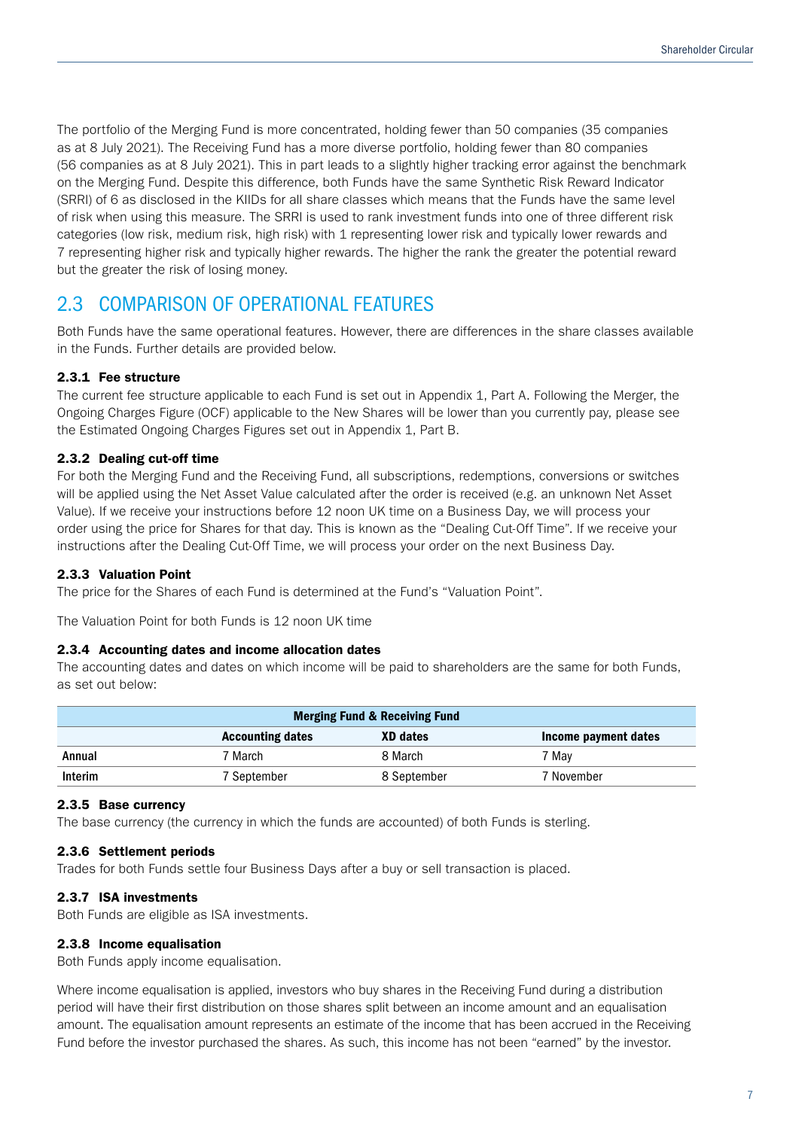The portfolio of the Merging Fund is more concentrated, holding fewer than 50 companies (35 companies as at 8 July 2021). The Receiving Fund has a more diverse portfolio, holding fewer than 80 companies (56 companies as at 8 July 2021). This in part leads to a slightly higher tracking error against the benchmark on the Merging Fund. Despite this difference, both Funds have the same Synthetic Risk Reward Indicator (SRRI) of 6 as disclosed in the KIIDs for all share classes which means that the Funds have the same level of risk when using this measure. The SRRI is used to rank investment funds into one of three different risk categories (low risk, medium risk, high risk) with 1 representing lower risk and typically lower rewards and 7 representing higher risk and typically higher rewards. The higher the rank the greater the potential reward but the greater the risk of losing money.

### 2.3 COMPARISON OF OPERATIONAL FEATURES

Both Funds have the same operational features. However, there are differences in the share classes available in the Funds. Further details are provided below.

### 2.3.1 Fee structure

The current fee structure applicable to each Fund is set out in Appendix 1, Part A. Following the Merger, the Ongoing Charges Figure (OCF) applicable to the New Shares will be lower than you currently pay, please see the Estimated Ongoing Charges Figures set out in Appendix 1, Part B.

### 2.3.2 Dealing cut-off time

For both the Merging Fund and the Receiving Fund, all subscriptions, redemptions, conversions or switches will be applied using the Net Asset Value calculated after the order is received (e.g. an unknown Net Asset Value). If we receive your instructions before 12 noon UK time on a Business Day, we will process your order using the price for Shares for that day. This is known as the "Dealing Cut-Off Time". If we receive your instructions after the Dealing Cut-Off Time, we will process your order on the next Business Day.

### 2.3.3 Valuation Point

The price for the Shares of each Fund is determined at the Fund's "Valuation Point".

The Valuation Point for both Funds is 12 noon UK time

### 2.3.4 Accounting dates and income allocation dates

The accounting dates and dates on which income will be paid to shareholders are the same for both Funds, as set out below:

| <b>Merging Fund &amp; Receiving Fund</b>                    |             |             |            |  |
|-------------------------------------------------------------|-------------|-------------|------------|--|
| XD dates<br><b>Accounting dates</b><br>Income payment dates |             |             |            |  |
| Annual                                                      | 7 March     | 8 March     | 7 Mav      |  |
| Interim                                                     | 7 September | 8 September | 7 November |  |

### 2.3.5 Base currency

The base currency (the currency in which the funds are accounted) of both Funds is sterling.

### 2.3.6 Settlement periods

Trades for both Funds settle four Business Days after a buy or sell transaction is placed.

#### 2.3.7 ISA investments

Both Funds are eligible as ISA investments.

### 2.3.8 Income equalisation

Both Funds apply income equalisation.

Where income equalisation is applied, investors who buy shares in the Receiving Fund during a distribution period will have their first distribution on those shares split between an income amount and an equalisation amount. The equalisation amount represents an estimate of the income that has been accrued in the Receiving Fund before the investor purchased the shares. As such, this income has not been "earned" by the investor.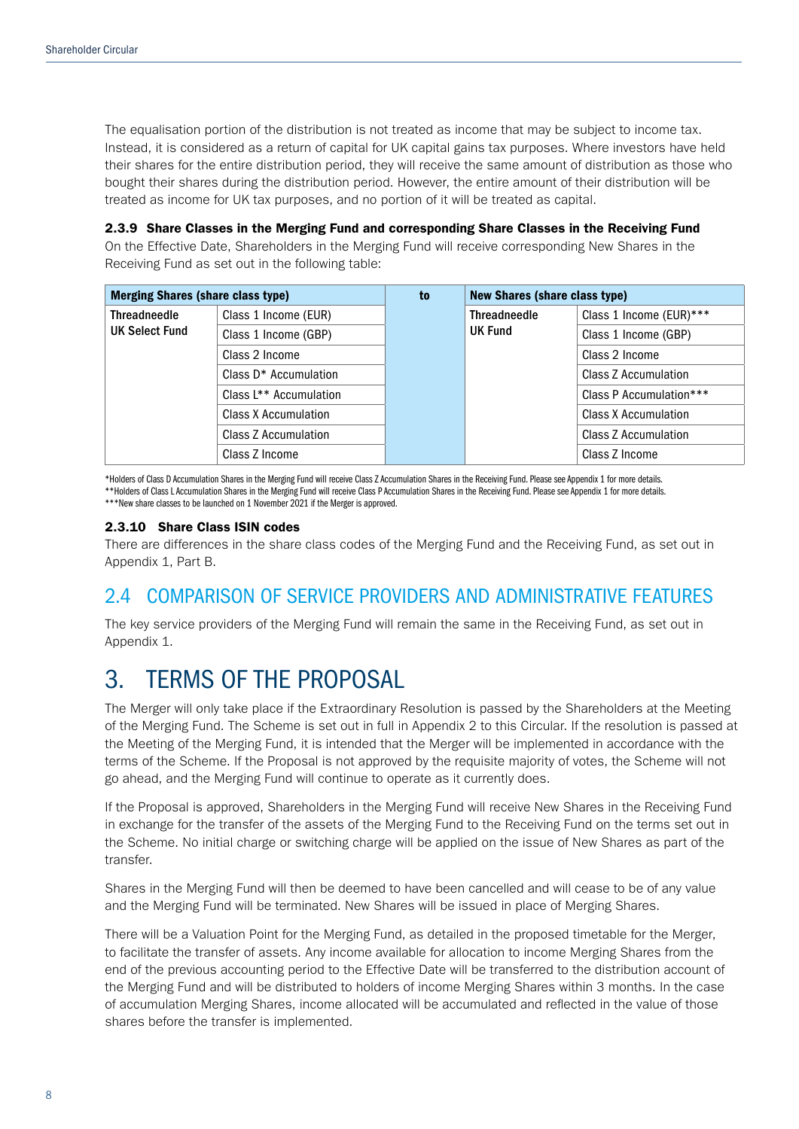The equalisation portion of the distribution is not treated as income that may be subject to income tax. Instead, it is considered as a return of capital for UK capital gains tax purposes. Where investors have held their shares for the entire distribution period, they will receive the same amount of distribution as those who bought their shares during the distribution period. However, the entire amount of their distribution will be treated as income for UK tax purposes, and no portion of it will be treated as capital.

2.3.9 Share Classes in the Merging Fund and corresponding Share Classes in the Receiving Fund On the Effective Date, Shareholders in the Merging Fund will receive corresponding New Shares in the Receiving Fund as set out in the following table:

| <b>Merging Shares (share class type)</b> |                                    | to | <b>New Shares (share class type)</b>  |                         |
|------------------------------------------|------------------------------------|----|---------------------------------------|-------------------------|
| <b>Threadneedle</b><br>UK Select Fund    | Class 1 Income (EUR)               |    | <b>Threadneedle</b><br><b>UK Fund</b> | Class 1 Income (EUR)*** |
|                                          | Class 1 Income (GBP)               |    |                                       | Class 1 Income (GBP)    |
|                                          | Class 2 Income                     |    |                                       | Class 2 Income          |
|                                          | Class D <sup>*</sup> Accumulation  |    |                                       | Class Z Accumulation    |
|                                          | Class L <sup>**</sup> Accumulation |    |                                       | Class P Accumulation*** |
|                                          | Class X Accumulation               |    |                                       | Class X Accumulation    |
|                                          | Class Z Accumulation               |    |                                       | Class Z Accumulation    |
|                                          | Class Z Income                     |    |                                       | Class Z Income          |

\*Holders of Class D Accumulation Shares in the Merging Fund will receive Class Z Accumulation Shares in the Receiving Fund. Please see Appendix 1 for more details. \*\*Holders of Class L Accumulation Shares in the Merging Fund will receive Class P Accumulation Shares in the Receiving Fund. Please see Appendix 1 for more details. \*\*\*New share classes to be launched on 1 November 2021 if the Merger is approved.

### 2.3.10 Share Class ISIN codes

There are differences in the share class codes of the Merging Fund and the Receiving Fund, as set out in Appendix 1, Part B.

### 2.4 COMPARISON OF SERVICE PROVIDERS AND ADMINISTRATIVE FEATURES

The key service providers of the Merging Fund will remain the same in the Receiving Fund, as set out in Appendix 1.

### 3. TERMS OF THE PROPOSAL

The Merger will only take place if the Extraordinary Resolution is passed by the Shareholders at the Meeting of the Merging Fund. The Scheme is set out in full in Appendix 2 to this Circular. If the resolution is passed at the Meeting of the Merging Fund, it is intended that the Merger will be implemented in accordance with the terms of the Scheme. If the Proposal is not approved by the requisite majority of votes, the Scheme will not go ahead, and the Merging Fund will continue to operate as it currently does.

If the Proposal is approved, Shareholders in the Merging Fund will receive New Shares in the Receiving Fund in exchange for the transfer of the assets of the Merging Fund to the Receiving Fund on the terms set out in the Scheme. No initial charge or switching charge will be applied on the issue of New Shares as part of the transfer.

Shares in the Merging Fund will then be deemed to have been cancelled and will cease to be of any value and the Merging Fund will be terminated. New Shares will be issued in place of Merging Shares.

There will be a Valuation Point for the Merging Fund, as detailed in the proposed timetable for the Merger, to facilitate the transfer of assets. Any income available for allocation to income Merging Shares from the end of the previous accounting period to the Effective Date will be transferred to the distribution account of the Merging Fund and will be distributed to holders of income Merging Shares within 3 months. In the case of accumulation Merging Shares, income allocated will be accumulated and reflected in the value of those shares before the transfer is implemented.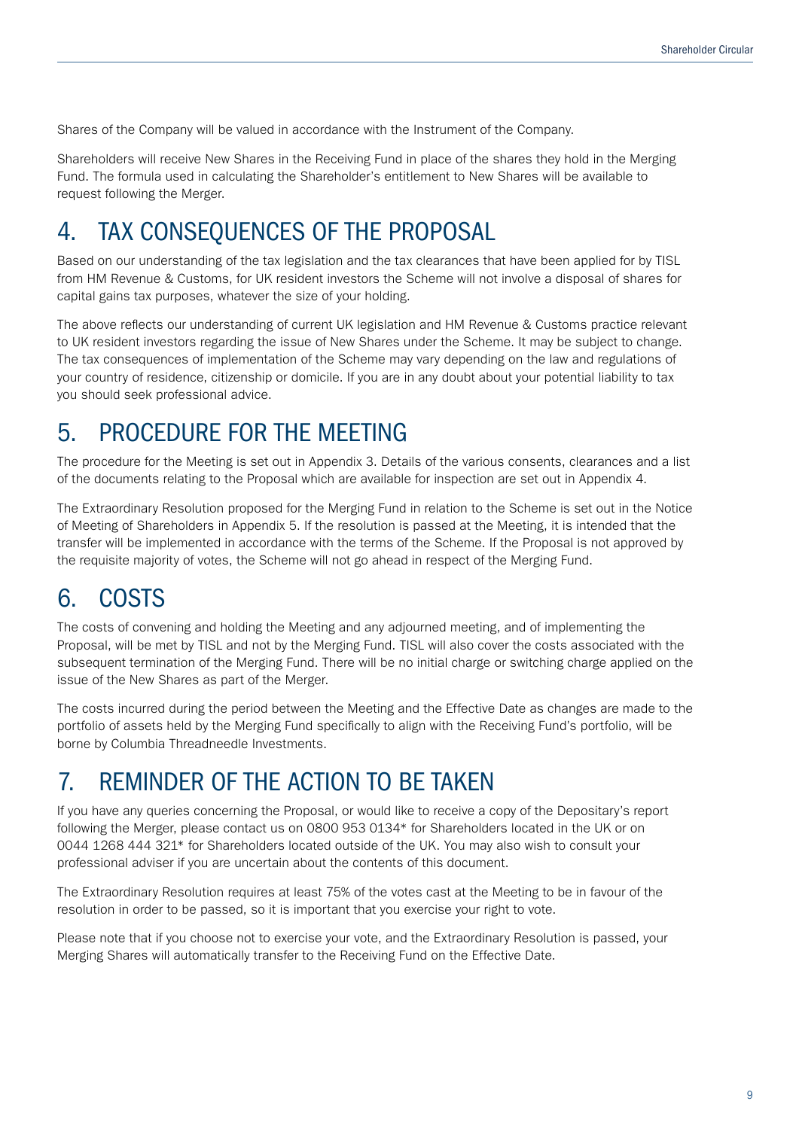Shares of the Company will be valued in accordance with the Instrument of the Company.

Shareholders will receive New Shares in the Receiving Fund in place of the shares they hold in the Merging Fund. The formula used in calculating the Shareholder's entitlement to New Shares will be available to request following the Merger.

## 4. TAX CONSEQUENCES OF THE PROPOSAL

Based on our understanding of the tax legislation and the tax clearances that have been applied for by TISL from HM Revenue & Customs, for UK resident investors the Scheme will not involve a disposal of shares for capital gains tax purposes, whatever the size of your holding.

The above reflects our understanding of current UK legislation and HM Revenue & Customs practice relevant to UK resident investors regarding the issue of New Shares under the Scheme. It may be subject to change. The tax consequences of implementation of the Scheme may vary depending on the law and regulations of your country of residence, citizenship or domicile. If you are in any doubt about your potential liability to tax you should seek professional advice.

## 5. PROCEDURE FOR THE MEETING

The procedure for the Meeting is set out in Appendix 3. Details of the various consents, clearances and a list of the documents relating to the Proposal which are available for inspection are set out in Appendix 4.

The Extraordinary Resolution proposed for the Merging Fund in relation to the Scheme is set out in the Notice of Meeting of Shareholders in Appendix 5. If the resolution is passed at the Meeting, it is intended that the transfer will be implemented in accordance with the terms of the Scheme. If the Proposal is not approved by the requisite majority of votes, the Scheme will not go ahead in respect of the Merging Fund.

## 6. COSTS

The costs of convening and holding the Meeting and any adjourned meeting, and of implementing the Proposal, will be met by TISL and not by the Merging Fund. TISL will also cover the costs associated with the subsequent termination of the Merging Fund. There will be no initial charge or switching charge applied on the issue of the New Shares as part of the Merger.

The costs incurred during the period between the Meeting and the Effective Date as changes are made to the portfolio of assets held by the Merging Fund specifically to align with the Receiving Fund's portfolio, will be borne by Columbia Threadneedle Investments.

## 7. REMINDER OF THE ACTION TO BE TAKEN

If you have any queries concerning the Proposal, or would like to receive a copy of the Depositary's report following the Merger, please contact us on 0800 953 0134\* for Shareholders located in the UK or on 0044 1268 444 321\* for Shareholders located outside of the UK. You may also wish to consult your professional adviser if you are uncertain about the contents of this document.

The Extraordinary Resolution requires at least 75% of the votes cast at the Meeting to be in favour of the resolution in order to be passed, so it is important that you exercise your right to vote.

Please note that if you choose not to exercise your vote, and the Extraordinary Resolution is passed, your Merging Shares will automatically transfer to the Receiving Fund on the Effective Date.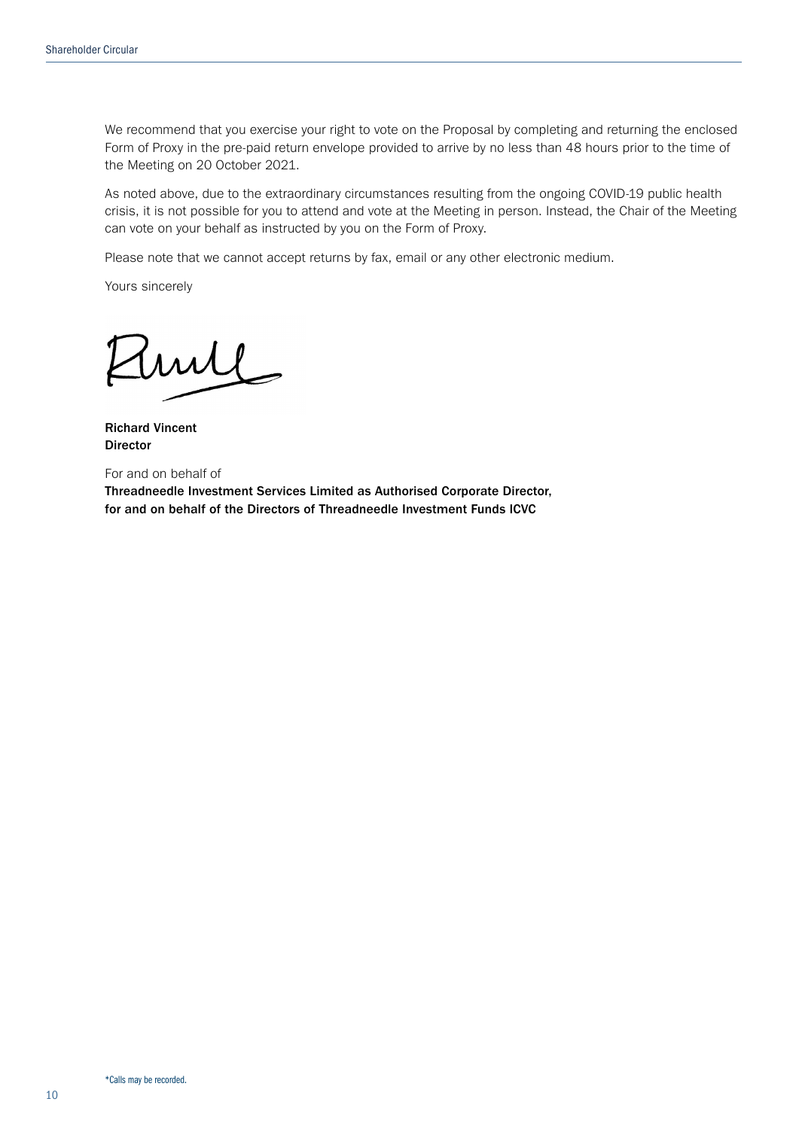We recommend that you exercise your right to vote on the Proposal by completing and returning the enclosed Form of Proxy in the pre-paid return envelope provided to arrive by no less than 48 hours prior to the time of the Meeting on 20 October 2021.

As noted above, due to the extraordinary circumstances resulting from the ongoing COVID-19 public health crisis, it is not possible for you to attend and vote at the Meeting in person. Instead, the Chair of the Meeting can vote on your behalf as instructed by you on the Form of Proxy.

Please note that we cannot accept returns by fax, email or any other electronic medium.

Yours sincerely

mil

Richard Vincent Director

For and on behalf of

Threadneedle Investment Services Limited as Authorised Corporate Director, for and on behalf of the Directors of Threadneedle Investment Funds ICVC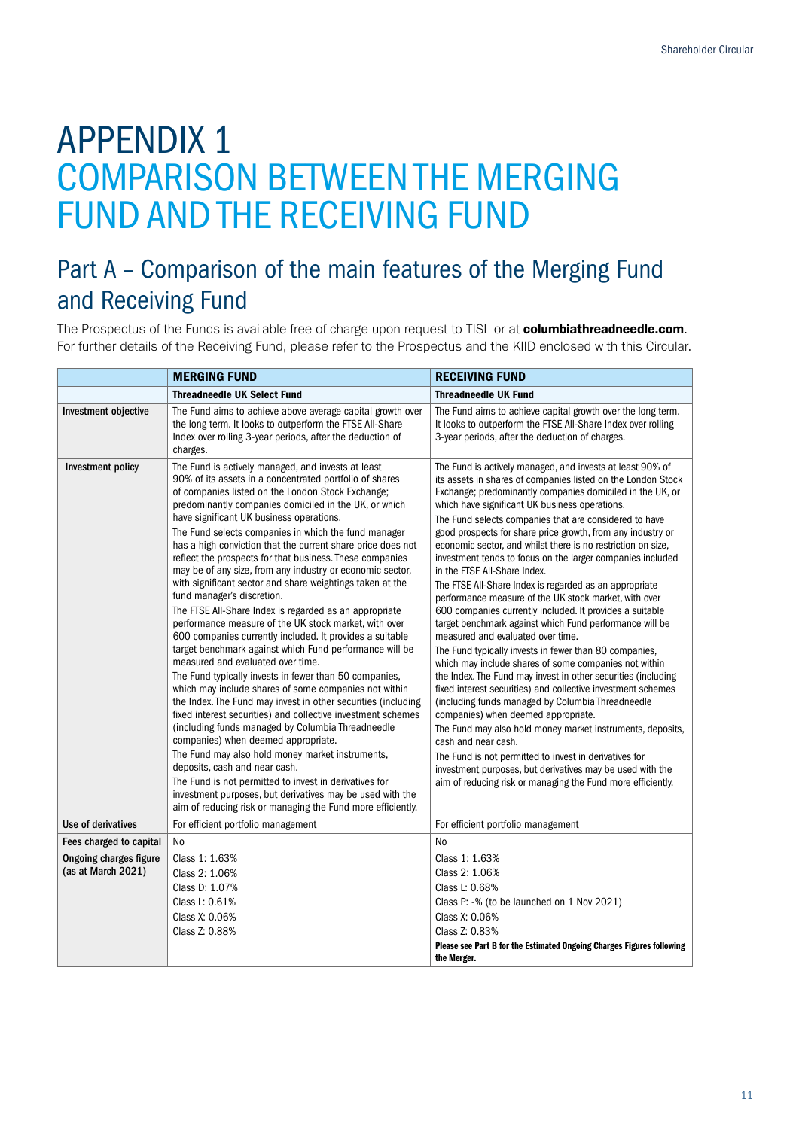# APPENDIX 1 COMPARISON BETWEEN THE MERGING FUND AND THE RECEIVING FUND

## Part A – Comparison of the main features of the Merging Fund and Receiving Fund

The Prospectus of the Funds is available free of charge upon request to TISL or at columbiathreadneedle.com. For further details of the Receiving Fund, please refer to the Prospectus and the KIID enclosed with this Circular.

|                                                     | <b>MERGING FUND</b>                                                                                                                                                                                                                                                                                                                                                                                                                                                                                                                                                                                                                                                                                                                                                                                                                                                                                                                                                                                                                                                                                                                                                                                                                                                                                                                                                                                                                                                                                                          | <b>RECEIVING FUND</b>                                                                                                                                                                                                                                                                                                                                                                                                                                                                                                                                                                                                                                                                                                                                                                                                                                                                                                                                                                                                                                                                                                                                                                                                                                                                                                                                                                                                                     |
|-----------------------------------------------------|------------------------------------------------------------------------------------------------------------------------------------------------------------------------------------------------------------------------------------------------------------------------------------------------------------------------------------------------------------------------------------------------------------------------------------------------------------------------------------------------------------------------------------------------------------------------------------------------------------------------------------------------------------------------------------------------------------------------------------------------------------------------------------------------------------------------------------------------------------------------------------------------------------------------------------------------------------------------------------------------------------------------------------------------------------------------------------------------------------------------------------------------------------------------------------------------------------------------------------------------------------------------------------------------------------------------------------------------------------------------------------------------------------------------------------------------------------------------------------------------------------------------------|-------------------------------------------------------------------------------------------------------------------------------------------------------------------------------------------------------------------------------------------------------------------------------------------------------------------------------------------------------------------------------------------------------------------------------------------------------------------------------------------------------------------------------------------------------------------------------------------------------------------------------------------------------------------------------------------------------------------------------------------------------------------------------------------------------------------------------------------------------------------------------------------------------------------------------------------------------------------------------------------------------------------------------------------------------------------------------------------------------------------------------------------------------------------------------------------------------------------------------------------------------------------------------------------------------------------------------------------------------------------------------------------------------------------------------------------|
|                                                     | <b>Threadneedle UK Select Fund</b>                                                                                                                                                                                                                                                                                                                                                                                                                                                                                                                                                                                                                                                                                                                                                                                                                                                                                                                                                                                                                                                                                                                                                                                                                                                                                                                                                                                                                                                                                           | <b>Threadneedle UK Fund</b>                                                                                                                                                                                                                                                                                                                                                                                                                                                                                                                                                                                                                                                                                                                                                                                                                                                                                                                                                                                                                                                                                                                                                                                                                                                                                                                                                                                                               |
| Investment objective                                | The Fund aims to achieve above average capital growth over<br>the long term. It looks to outperform the FTSE All-Share<br>Index over rolling 3-year periods, after the deduction of<br>charges.                                                                                                                                                                                                                                                                                                                                                                                                                                                                                                                                                                                                                                                                                                                                                                                                                                                                                                                                                                                                                                                                                                                                                                                                                                                                                                                              | The Fund aims to achieve capital growth over the long term.<br>It looks to outperform the FTSE All-Share Index over rolling<br>3-year periods, after the deduction of charges.                                                                                                                                                                                                                                                                                                                                                                                                                                                                                                                                                                                                                                                                                                                                                                                                                                                                                                                                                                                                                                                                                                                                                                                                                                                            |
| Investment policy                                   | The Fund is actively managed, and invests at least<br>90% of its assets in a concentrated portfolio of shares<br>of companies listed on the London Stock Exchange;<br>predominantly companies domiciled in the UK, or which<br>have significant UK business operations.<br>The Fund selects companies in which the fund manager<br>has a high conviction that the current share price does not<br>reflect the prospects for that business. These companies<br>may be of any size, from any industry or economic sector,<br>with significant sector and share weightings taken at the<br>fund manager's discretion.<br>The FTSE All-Share Index is regarded as an appropriate<br>performance measure of the UK stock market, with over<br>600 companies currently included. It provides a suitable<br>target benchmark against which Fund performance will be<br>measured and evaluated over time.<br>The Fund typically invests in fewer than 50 companies,<br>which may include shares of some companies not within<br>the Index. The Fund may invest in other securities (including<br>fixed interest securities) and collective investment schemes<br>(including funds managed by Columbia Threadneedle<br>companies) when deemed appropriate.<br>The Fund may also hold money market instruments,<br>deposits, cash and near cash.<br>The Fund is not permitted to invest in derivatives for<br>investment purposes, but derivatives may be used with the<br>aim of reducing risk or managing the Fund more efficiently. | The Fund is actively managed, and invests at least 90% of<br>its assets in shares of companies listed on the London Stock<br>Exchange; predominantly companies domiciled in the UK, or<br>which have significant UK business operations.<br>The Fund selects companies that are considered to have<br>good prospects for share price growth, from any industry or<br>economic sector, and whilst there is no restriction on size,<br>investment tends to focus on the larger companies included<br>in the FTSE All-Share Index.<br>The FTSE All-Share Index is regarded as an appropriate<br>performance measure of the UK stock market, with over<br>600 companies currently included. It provides a suitable<br>target benchmark against which Fund performance will be<br>measured and evaluated over time.<br>The Fund typically invests in fewer than 80 companies,<br>which may include shares of some companies not within<br>the Index. The Fund may invest in other securities (including<br>fixed interest securities) and collective investment schemes<br>(including funds managed by Columbia Threadneedle<br>companies) when deemed appropriate.<br>The Fund may also hold money market instruments, deposits,<br>cash and near cash.<br>The Fund is not permitted to invest in derivatives for<br>investment purposes, but derivatives may be used with the<br>aim of reducing risk or managing the Fund more efficiently. |
| Use of derivatives                                  | For efficient portfolio management                                                                                                                                                                                                                                                                                                                                                                                                                                                                                                                                                                                                                                                                                                                                                                                                                                                                                                                                                                                                                                                                                                                                                                                                                                                                                                                                                                                                                                                                                           | For efficient portfolio management                                                                                                                                                                                                                                                                                                                                                                                                                                                                                                                                                                                                                                                                                                                                                                                                                                                                                                                                                                                                                                                                                                                                                                                                                                                                                                                                                                                                        |
| Fees charged to capital                             | No                                                                                                                                                                                                                                                                                                                                                                                                                                                                                                                                                                                                                                                                                                                                                                                                                                                                                                                                                                                                                                                                                                                                                                                                                                                                                                                                                                                                                                                                                                                           | <b>No</b>                                                                                                                                                                                                                                                                                                                                                                                                                                                                                                                                                                                                                                                                                                                                                                                                                                                                                                                                                                                                                                                                                                                                                                                                                                                                                                                                                                                                                                 |
| <b>Ongoing charges figure</b><br>(as at March 2021) | Class 1: 1.63%<br>Class 2: 1.06%                                                                                                                                                                                                                                                                                                                                                                                                                                                                                                                                                                                                                                                                                                                                                                                                                                                                                                                                                                                                                                                                                                                                                                                                                                                                                                                                                                                                                                                                                             | Class 1: 1.63%<br>Class 2: 1.06%                                                                                                                                                                                                                                                                                                                                                                                                                                                                                                                                                                                                                                                                                                                                                                                                                                                                                                                                                                                                                                                                                                                                                                                                                                                                                                                                                                                                          |
|                                                     | Class D: 1.07%                                                                                                                                                                                                                                                                                                                                                                                                                                                                                                                                                                                                                                                                                                                                                                                                                                                                                                                                                                                                                                                                                                                                                                                                                                                                                                                                                                                                                                                                                                               | Class L: 0.68%                                                                                                                                                                                                                                                                                                                                                                                                                                                                                                                                                                                                                                                                                                                                                                                                                                                                                                                                                                                                                                                                                                                                                                                                                                                                                                                                                                                                                            |
|                                                     | Class L: 0.61%                                                                                                                                                                                                                                                                                                                                                                                                                                                                                                                                                                                                                                                                                                                                                                                                                                                                                                                                                                                                                                                                                                                                                                                                                                                                                                                                                                                                                                                                                                               |                                                                                                                                                                                                                                                                                                                                                                                                                                                                                                                                                                                                                                                                                                                                                                                                                                                                                                                                                                                                                                                                                                                                                                                                                                                                                                                                                                                                                                           |
|                                                     | Class X: 0.06%                                                                                                                                                                                                                                                                                                                                                                                                                                                                                                                                                                                                                                                                                                                                                                                                                                                                                                                                                                                                                                                                                                                                                                                                                                                                                                                                                                                                                                                                                                               | Class P: -% (to be launched on 1 Nov 2021)                                                                                                                                                                                                                                                                                                                                                                                                                                                                                                                                                                                                                                                                                                                                                                                                                                                                                                                                                                                                                                                                                                                                                                                                                                                                                                                                                                                                |
|                                                     | Class Z: 0.88%                                                                                                                                                                                                                                                                                                                                                                                                                                                                                                                                                                                                                                                                                                                                                                                                                                                                                                                                                                                                                                                                                                                                                                                                                                                                                                                                                                                                                                                                                                               | Class X: 0.06%<br>Class Z: 0.83%                                                                                                                                                                                                                                                                                                                                                                                                                                                                                                                                                                                                                                                                                                                                                                                                                                                                                                                                                                                                                                                                                                                                                                                                                                                                                                                                                                                                          |
|                                                     |                                                                                                                                                                                                                                                                                                                                                                                                                                                                                                                                                                                                                                                                                                                                                                                                                                                                                                                                                                                                                                                                                                                                                                                                                                                                                                                                                                                                                                                                                                                              | Please see Part B for the Estimated Ongoing Charges Figures following                                                                                                                                                                                                                                                                                                                                                                                                                                                                                                                                                                                                                                                                                                                                                                                                                                                                                                                                                                                                                                                                                                                                                                                                                                                                                                                                                                     |
|                                                     |                                                                                                                                                                                                                                                                                                                                                                                                                                                                                                                                                                                                                                                                                                                                                                                                                                                                                                                                                                                                                                                                                                                                                                                                                                                                                                                                                                                                                                                                                                                              | the Merger.                                                                                                                                                                                                                                                                                                                                                                                                                                                                                                                                                                                                                                                                                                                                                                                                                                                                                                                                                                                                                                                                                                                                                                                                                                                                                                                                                                                                                               |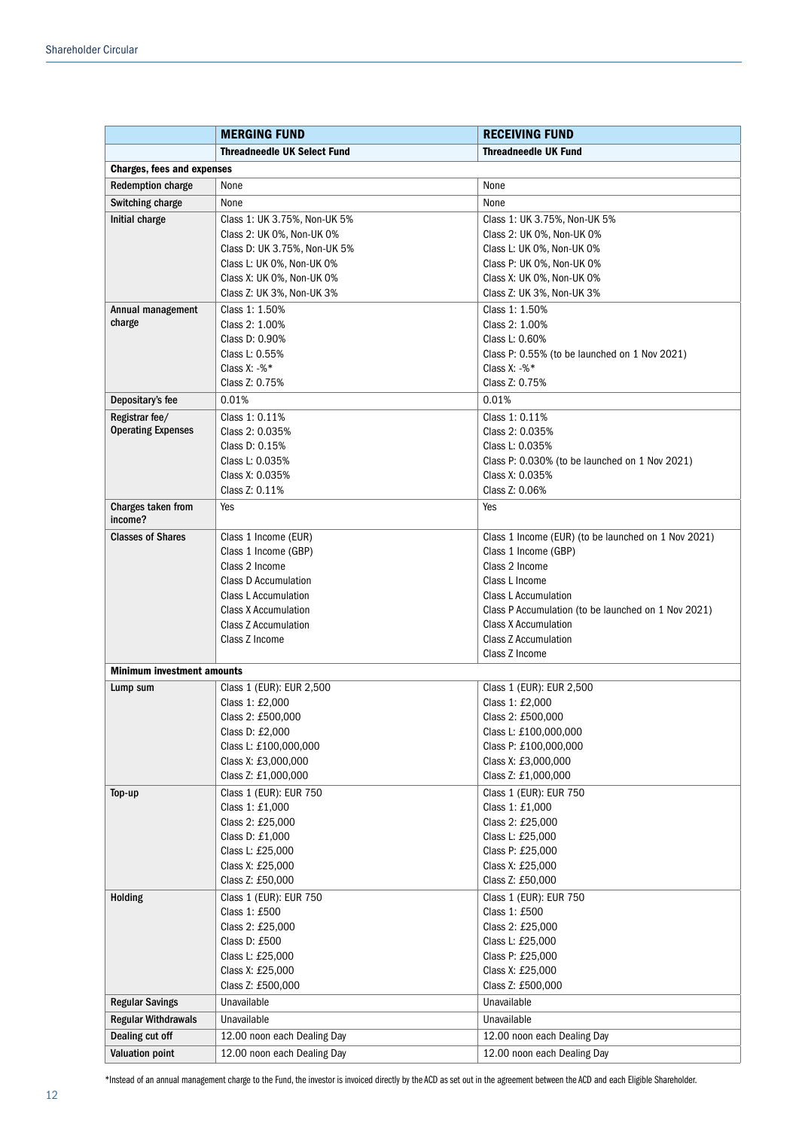|                                               | <b>MERGING FUND</b>                                        | <b>RECEIVING FUND</b>                                               |
|-----------------------------------------------|------------------------------------------------------------|---------------------------------------------------------------------|
|                                               | <b>Threadneedle UK Select Fund</b>                         | <b>Threadneedle UK Fund</b>                                         |
| <b>Charges, fees and expenses</b>             |                                                            |                                                                     |
| <b>Redemption charge</b>                      | None                                                       | None                                                                |
| Switching charge                              | None                                                       | None                                                                |
| Initial charge                                | Class 1: UK 3.75%, Non-UK 5%                               | Class 1: UK 3.75%, Non-UK 5%                                        |
|                                               | Class 2: UK 0%, Non-UK 0%                                  | Class 2: UK 0%, Non-UK 0%                                           |
|                                               | Class D: UK 3.75%, Non-UK 5%                               | Class L: UK 0%, Non-UK 0%                                           |
|                                               | Class L: UK 0%, Non-UK 0%                                  | Class P: UK 0%, Non-UK 0%                                           |
|                                               | Class X: UK 0%, Non-UK 0%                                  | Class X: UK 0%, Non-UK 0%                                           |
|                                               | Class Z: UK 3%, Non-UK 3%                                  | Class Z: UK 3%, Non-UK 3%                                           |
| Annual management                             | Class 1: 1.50%                                             | Class 1: 1.50%                                                      |
| charge                                        | Class 2: 1.00%                                             | Class 2: 1.00%                                                      |
|                                               | Class D: 0.90%                                             | Class L: 0.60%                                                      |
|                                               | Class L: 0.55%<br>Class X: $-$ % $*$                       | Class P: 0.55% (to be launched on 1 Nov 2021)<br>Class X: $-$ % $*$ |
|                                               | Class Z: 0.75%                                             | Class Z: 0.75%                                                      |
| Depositary's fee                              | 0.01%                                                      | 0.01%                                                               |
| Registrar fee/                                | Class 1: 0.11%                                             | Class 1: 0.11%                                                      |
| <b>Operating Expenses</b>                     | Class 2: 0.035%                                            | Class 2: 0.035%                                                     |
|                                               | Class D: 0.15%                                             | Class L: 0.035%                                                     |
|                                               | Class L: 0.035%                                            | Class P: 0.030% (to be launched on 1 Nov 2021)                      |
|                                               | Class X: 0.035%                                            | Class X: 0.035%                                                     |
|                                               | Class Z: 0.11%                                             | Class Z: 0.06%                                                      |
| Charges taken from                            | Yes                                                        | Yes                                                                 |
| income?                                       |                                                            |                                                                     |
| <b>Classes of Shares</b>                      | Class 1 Income (EUR)                                       | Class 1 Income (EUR) (to be launched on 1 Nov 2021)                 |
|                                               | Class 1 Income (GBP)                                       | Class 1 Income (GBP)                                                |
|                                               | Class 2 Income                                             | Class 2 Income                                                      |
|                                               | <b>Class D Accumulation</b><br><b>Class L Accumulation</b> | Class L Income<br>Class L Accumulation                              |
|                                               | <b>Class X Accumulation</b>                                | Class P Accumulation (to be launched on 1 Nov 2021)                 |
|                                               | <b>Class Z Accumulation</b>                                | <b>Class X Accumulation</b>                                         |
|                                               | Class Z Income                                             | <b>Class Z Accumulation</b>                                         |
|                                               |                                                            | Class Z Income                                                      |
| <b>Minimum investment amounts</b>             |                                                            |                                                                     |
| Lump sum                                      | Class 1 (EUR): EUR 2,500                                   | Class 1 (EUR): EUR 2,500                                            |
|                                               | Class 1: £2,000                                            | Class 1: £2,000                                                     |
|                                               | Class 2: £500,000                                          | Class 2: £500,000                                                   |
|                                               | Class D: £2,000                                            | Class L: £100,000,000                                               |
|                                               | Class L: £100,000,000<br>Class X: £3,000,000               | Class P: £100,000,000<br>Class X: £3,000,000                        |
|                                               | Class Z: £1,000,000                                        | Class Z: £1,000,000                                                 |
| Top-up                                        | Class 1 (EUR): EUR 750                                     | Class 1 (EUR): EUR 750                                              |
|                                               | Class 1: £1,000                                            | Class 1: £1,000                                                     |
|                                               | Class 2: £25,000                                           | Class 2: £25,000                                                    |
|                                               | Class D: £1,000                                            | Class L: £25,000                                                    |
|                                               | Class L: £25,000                                           | Class P: £25,000                                                    |
|                                               | Class X: £25,000                                           | Class X: £25,000                                                    |
|                                               | Class Z: £50,000                                           | Class Z: £50,000                                                    |
| Holding                                       | Class 1 (EUR): EUR 750                                     | Class 1 (EUR): EUR 750                                              |
|                                               | Class 1: £500                                              | Class 1: £500                                                       |
|                                               | Class 2: £25,000                                           | Class 2: £25,000                                                    |
|                                               | Class D: £500                                              | Class L: £25,000                                                    |
|                                               | Class L: £25,000<br>Class X: £25,000                       | Class P: £25,000<br>Class X: £25,000                                |
|                                               | Class Z: £500,000                                          | Class Z: £500,000                                                   |
| <b>Regular Savings</b>                        | Unavailable                                                | Unavailable                                                         |
|                                               | Unavailable                                                | Unavailable                                                         |
| <b>Regular Withdrawals</b><br>Dealing cut off |                                                            | 12.00 noon each Dealing Day                                         |
| <b>Valuation point</b>                        | 12.00 noon each Dealing Day<br>12.00 noon each Dealing Day | 12.00 noon each Dealing Day                                         |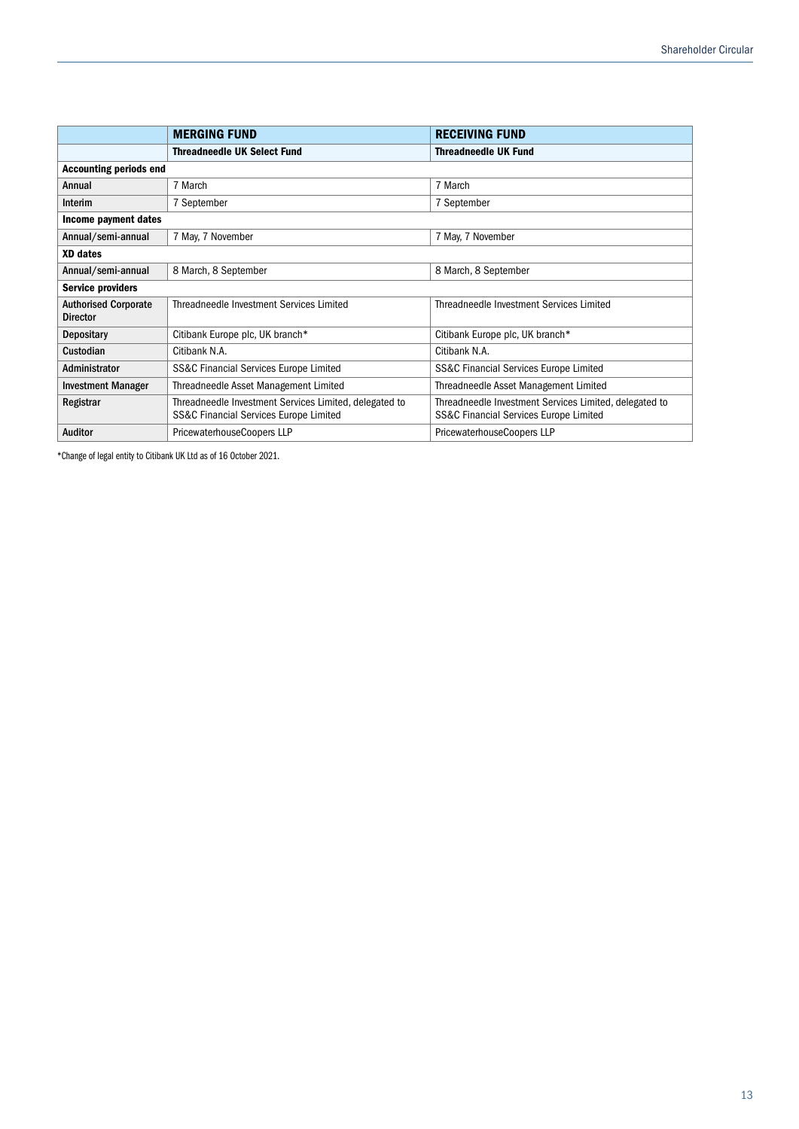|                                                | <b>MERGING FUND</b>                                                                                         | <b>RECEIVING FUND</b>                                                                            |
|------------------------------------------------|-------------------------------------------------------------------------------------------------------------|--------------------------------------------------------------------------------------------------|
|                                                | <b>Threadneedle UK Select Fund</b>                                                                          | <b>Threadneedle UK Fund</b>                                                                      |
| <b>Accounting periods end</b>                  |                                                                                                             |                                                                                                  |
| Annual                                         | 7 March                                                                                                     | 7 March                                                                                          |
| Interim                                        | 7 September                                                                                                 | 7 September                                                                                      |
| Income payment dates                           |                                                                                                             |                                                                                                  |
| Annual/semi-annual                             | 7 May, 7 November                                                                                           | 7 May, 7 November                                                                                |
| <b>XD</b> dates                                |                                                                                                             |                                                                                                  |
| Annual/semi-annual                             | 8 March, 8 September<br>8 March, 8 September                                                                |                                                                                                  |
| <b>Service providers</b>                       |                                                                                                             |                                                                                                  |
| <b>Authorised Corporate</b><br><b>Director</b> | Threadneedle Investment Services Limited                                                                    | Threadneedle Investment Services Limited                                                         |
| <b>Depositary</b>                              | Citibank Europe plc, UK branch*                                                                             | Citibank Europe plc, UK branch*                                                                  |
| Custodian                                      | Citibank N.A.                                                                                               | Citibank N.A.                                                                                    |
| Administrator                                  | <b>SS&amp;C Financial Services Europe Limited</b>                                                           | SS&C Financial Services Europe Limited                                                           |
| <b>Investment Manager</b>                      | Threadneedle Asset Management Limited                                                                       | Threadneedle Asset Management Limited                                                            |
| Registrar                                      | Threadneedle Investment Services Limited, delegated to<br><b>SS&amp;C Financial Services Europe Limited</b> | Threadneedle Investment Services Limited, delegated to<br>SS&C Financial Services Europe Limited |
| Auditor                                        | PricewaterhouseCoopers LLP                                                                                  | PricewaterhouseCoopers LLP                                                                       |

\*Change of legal entity to Citibank UK Ltd as of 16 October 2021.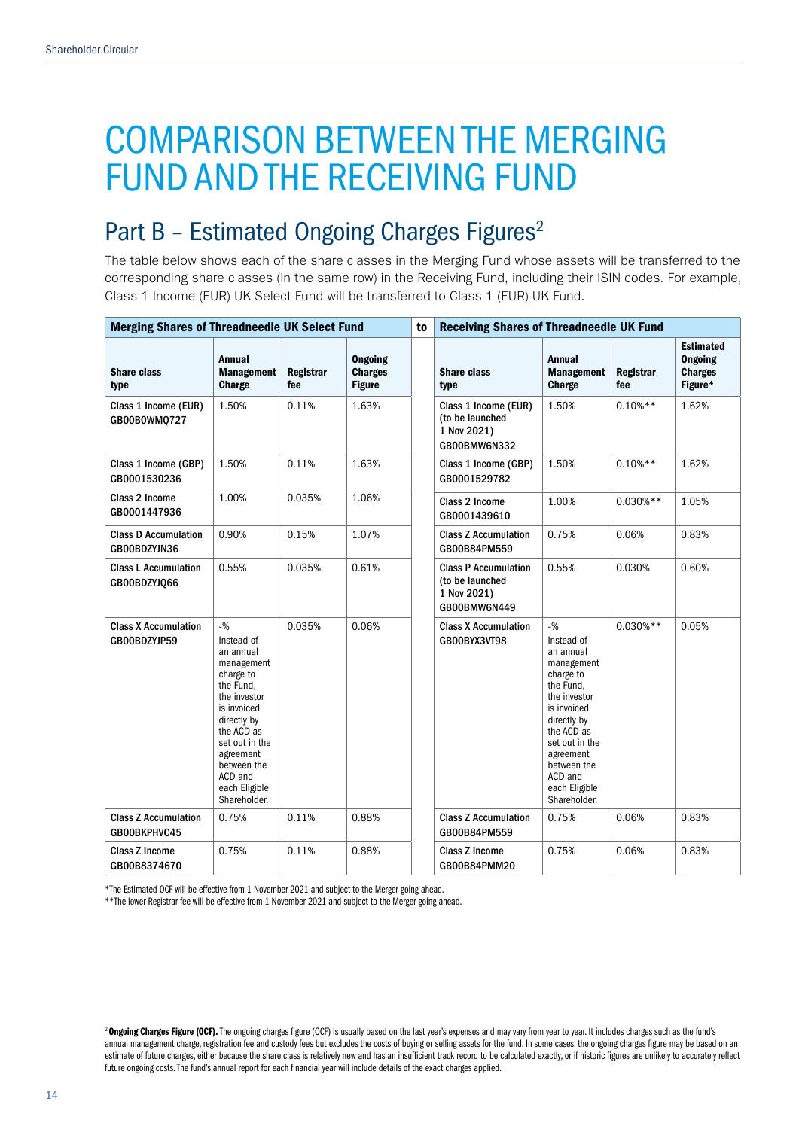# COMPARISON BETWEEN THE MERGING FUND AND THE RECEIVING FUND

## Part B - Estimated Ongoing Charges Figures<sup>2</sup>

The table below shows each of the share classes in the Merging Fund whose assets will be transferred to the corresponding share classes (in the same row) in the Receiving Fund, including their ISIN codes. For example, Class 1 Income (EUR) UK Select Fund will be transferred to Class 1 (EUR) UK Fund.

| <b>Merging Shares of Threadneedle UK Select Fund</b> |                                                                                                                                                                                                                                 |                         |                                                   | to | <b>Receiving Shares of Threadneedle UK Fund</b>                               |                                                                                                                                                                                                                                 |                  |                                                                 |
|------------------------------------------------------|---------------------------------------------------------------------------------------------------------------------------------------------------------------------------------------------------------------------------------|-------------------------|---------------------------------------------------|----|-------------------------------------------------------------------------------|---------------------------------------------------------------------------------------------------------------------------------------------------------------------------------------------------------------------------------|------------------|-----------------------------------------------------------------|
| <b>Share class</b><br>type                           | <b>Annual</b><br><b>Management</b><br><b>Charge</b>                                                                                                                                                                             | <b>Registrar</b><br>fee | <b>Ongoing</b><br><b>Charges</b><br><b>Figure</b> |    | <b>Share class</b><br>type                                                    | <b>Annual</b><br><b>Management</b><br>Charge                                                                                                                                                                                    | Registrar<br>fee | <b>Estimated</b><br><b>Ongoing</b><br><b>Charges</b><br>Figure* |
| Class 1 Income (EUR)<br>GB00B0WM0727                 | 1.50%                                                                                                                                                                                                                           | 0.11%                   | 1.63%                                             |    | Class 1 Income (EUR)<br>(to be launched<br>1 Nov 2021)<br>GB00BMW6N332        | 1.50%                                                                                                                                                                                                                           | $0.10%$ **       | 1.62%                                                           |
| Class 1 Income (GBP)<br>GB0001530236                 | 1.50%                                                                                                                                                                                                                           | 0.11%                   | 1.63%                                             |    | Class 1 Income (GBP)<br>GB0001529782                                          | 1.50%                                                                                                                                                                                                                           | $0.10%$ **       | 1.62%                                                           |
| Class 2 Income<br>GB0001447936                       | 1.00%                                                                                                                                                                                                                           | 0.035%                  | 1.06%                                             |    | Class 2 Income<br>GB0001439610                                                | 1.00%                                                                                                                                                                                                                           | $0.030%$ **      | 1.05%                                                           |
| <b>Class D Accumulation</b><br>GB00BDZYJN36          | 0.90%                                                                                                                                                                                                                           | 0.15%                   | 1.07%                                             |    | <b>Class Z Accumulation</b><br>GB00B84PM559                                   | 0.75%                                                                                                                                                                                                                           | 0.06%            | 0.83%                                                           |
| <b>Class L Accumulation</b><br>GB00BDZYJQ66          | 0.55%                                                                                                                                                                                                                           | 0.035%                  | 0.61%                                             |    | <b>Class P Accumulation</b><br>(to be launched<br>1 Nov 2021)<br>GB00BMW6N449 | 0.55%                                                                                                                                                                                                                           | 0.030%           | 0.60%                                                           |
| <b>Class X Accumulation</b><br>GB00BDZYJP59          | $-9/6$<br>Instead of<br>an annual<br>management<br>charge to<br>the Fund.<br>the investor<br>is invoiced<br>directly by<br>the ACD as<br>set out in the<br>agreement<br>between the<br>ACD and<br>each Eligible<br>Shareholder. | 0.035%                  | 0.06%                                             |    | <b>Class X Accumulation</b><br>GB00BYX3VT98                                   | $-9/6$<br>Instead of<br>an annual<br>management<br>charge to<br>the Fund.<br>the investor<br>is invoiced<br>directly by<br>the ACD as<br>set out in the<br>agreement<br>between the<br>ACD and<br>each Eligible<br>Shareholder. | $0.030%$ **      | 0.05%                                                           |
| <b>Class Z Accumulation</b><br>GB00BKPHVC45          | 0.75%                                                                                                                                                                                                                           | 0.11%                   | 0.88%                                             |    | <b>Class Z Accumulation</b><br>GB00B84PM559                                   | 0.75%                                                                                                                                                                                                                           | 0.06%            | 0.83%                                                           |
| <b>Class Z Income</b><br>GB00B8374670                | 0.75%                                                                                                                                                                                                                           | 0.11%                   | 0.88%                                             |    | <b>Class Z Income</b><br>GB00B84PMM20                                         | 0.75%                                                                                                                                                                                                                           | 0.06%            | 0.83%                                                           |

\*The Estimated OCF will be effective from 1 November 2021 and subject to the Merger going ahead.

\*\*The lower Registrar fee will be effective from 1 November 2021 and subject to the Merger going ahead.

<sup>&</sup>lt;sup>2</sup> Ongoing Charges Figure (OCF). The ongoing charges figure (OCF) is usually based on the last year's expenses and may vary from year to year. It includes charges such as the fund's annual management charge, registration fee and custody fees but excludes the costs of buying or selling assets for the fund. In some cases, the ongoing charges figure may be based on an estimate of future charges, either because the share class is relatively new and has an insufficient track record to be calculated exactly, or if historic figures are unlikely to accurately reflect future ongoing costs. The fund's annual report for each financial year will include details of the exact charges applied.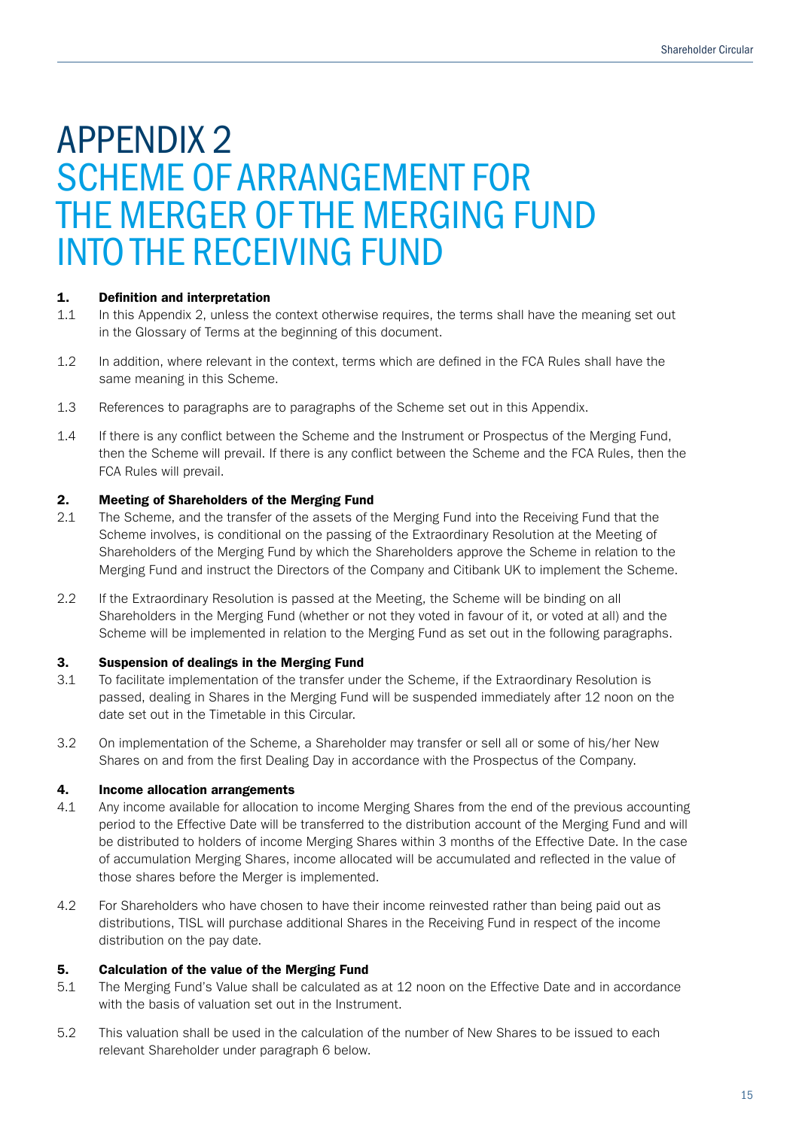# APPENDIX 2 SCHEME OF ARRANGEMENT FOR THE MERGER OF THE MERGING FUND INTO THE RECEIVING FUND

### 1. Definition and interpretation

- 1.1 In this Appendix 2, unless the context otherwise requires, the terms shall have the meaning set out in the Glossary of Terms at the beginning of this document.
- 1.2 In addition, where relevant in the context, terms which are defined in the FCA Rules shall have the same meaning in this Scheme.
- 1.3 References to paragraphs are to paragraphs of the Scheme set out in this Appendix.
- 1.4 If there is any conflict between the Scheme and the Instrument or Prospectus of the Merging Fund, then the Scheme will prevail. If there is any conflict between the Scheme and the FCA Rules, then the FCA Rules will prevail.

### 2. Meeting of Shareholders of the Merging Fund

- 2.1 The Scheme, and the transfer of the assets of the Merging Fund into the Receiving Fund that the Scheme involves, is conditional on the passing of the Extraordinary Resolution at the Meeting of Shareholders of the Merging Fund by which the Shareholders approve the Scheme in relation to the Merging Fund and instruct the Directors of the Company and Citibank UK to implement the Scheme.
- 2.2 If the Extraordinary Resolution is passed at the Meeting, the Scheme will be binding on all Shareholders in the Merging Fund (whether or not they voted in favour of it, or voted at all) and the Scheme will be implemented in relation to the Merging Fund as set out in the following paragraphs.

### 3. Suspension of dealings in the Merging Fund

- 3.1 To facilitate implementation of the transfer under the Scheme, if the Extraordinary Resolution is passed, dealing in Shares in the Merging Fund will be suspended immediately after 12 noon on the date set out in the Timetable in this Circular.
- 3.2 On implementation of the Scheme, a Shareholder may transfer or sell all or some of his/her New Shares on and from the first Dealing Day in accordance with the Prospectus of the Company.

### 4. Income allocation arrangements

- 4.1 Any income available for allocation to income Merging Shares from the end of the previous accounting period to the Effective Date will be transferred to the distribution account of the Merging Fund and will be distributed to holders of income Merging Shares within 3 months of the Effective Date. In the case of accumulation Merging Shares, income allocated will be accumulated and reflected in the value of those shares before the Merger is implemented.
- 4.2 For Shareholders who have chosen to have their income reinvested rather than being paid out as distributions, TISL will purchase additional Shares in the Receiving Fund in respect of the income distribution on the pay date.

### 5. Calculation of the value of the Merging Fund

- 5.1 The Merging Fund's Value shall be calculated as at 12 noon on the Effective Date and in accordance with the basis of valuation set out in the Instrument.
- 5.2 This valuation shall be used in the calculation of the number of New Shares to be issued to each relevant Shareholder under paragraph 6 below.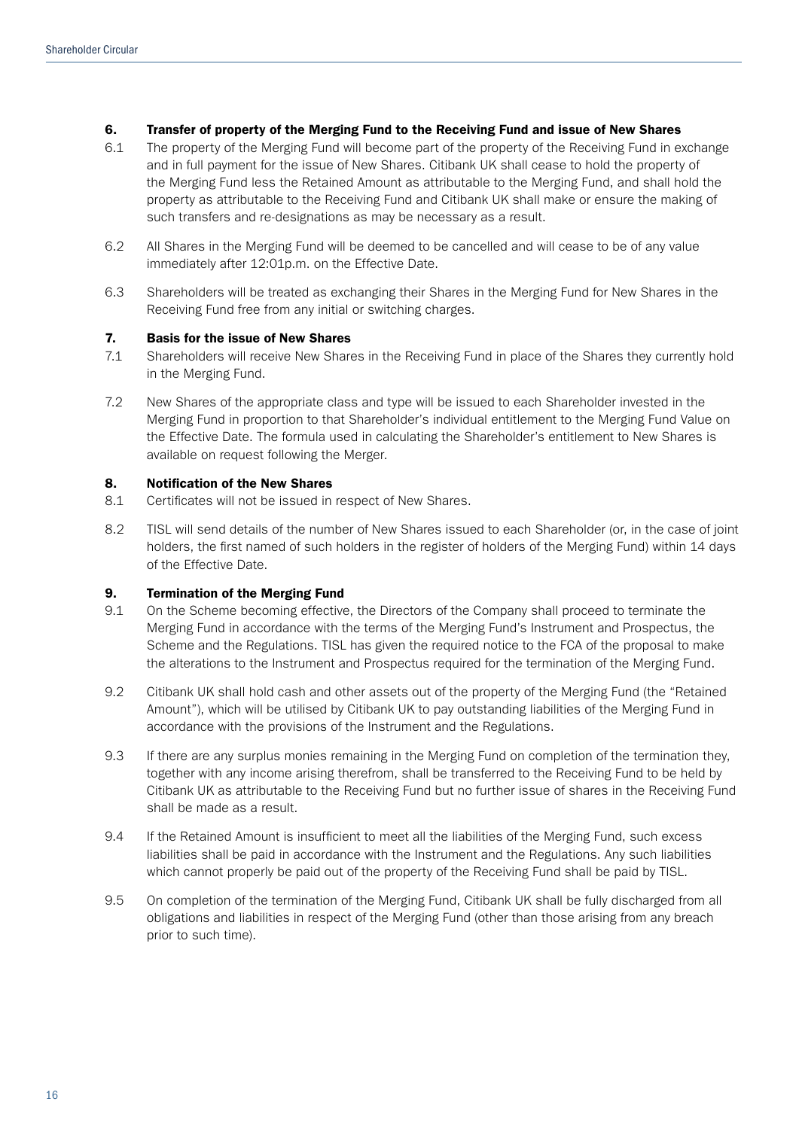### 6. Transfer of property of the Merging Fund to the Receiving Fund and issue of New Shares

- 6.1 The property of the Merging Fund will become part of the property of the Receiving Fund in exchange and in full payment for the issue of New Shares. Citibank UK shall cease to hold the property of the Merging Fund less the Retained Amount as attributable to the Merging Fund, and shall hold the property as attributable to the Receiving Fund and Citibank UK shall make or ensure the making of such transfers and re-designations as may be necessary as a result.
- 6.2 All Shares in the Merging Fund will be deemed to be cancelled and will cease to be of any value immediately after 12:01p.m. on the Effective Date.
- 6.3 Shareholders will be treated as exchanging their Shares in the Merging Fund for New Shares in the Receiving Fund free from any initial or switching charges.

### 7. Basis for the issue of New Shares

- 7.1 Shareholders will receive New Shares in the Receiving Fund in place of the Shares they currently hold in the Merging Fund.
- 7.2 New Shares of the appropriate class and type will be issued to each Shareholder invested in the Merging Fund in proportion to that Shareholder's individual entitlement to the Merging Fund Value on the Effective Date. The formula used in calculating the Shareholder's entitlement to New Shares is available on request following the Merger.

### 8. Notification of the New Shares

- 8.1 Certificates will not be issued in respect of New Shares.
- 8.2 TISL will send details of the number of New Shares issued to each Shareholder (or, in the case of joint holders, the first named of such holders in the register of holders of the Merging Fund) within 14 days of the Effective Date.

### 9. Termination of the Merging Fund

- 9.1 On the Scheme becoming effective, the Directors of the Company shall proceed to terminate the Merging Fund in accordance with the terms of the Merging Fund's Instrument and Prospectus, the Scheme and the Regulations. TISL has given the required notice to the FCA of the proposal to make the alterations to the Instrument and Prospectus required for the termination of the Merging Fund.
- 9.2 Citibank UK shall hold cash and other assets out of the property of the Merging Fund (the "Retained Amount"), which will be utilised by Citibank UK to pay outstanding liabilities of the Merging Fund in accordance with the provisions of the Instrument and the Regulations.
- 9.3 If there are any surplus monies remaining in the Merging Fund on completion of the termination they, together with any income arising therefrom, shall be transferred to the Receiving Fund to be held by Citibank UK as attributable to the Receiving Fund but no further issue of shares in the Receiving Fund shall be made as a result.
- 9.4 If the Retained Amount is insufficient to meet all the liabilities of the Merging Fund, such excess liabilities shall be paid in accordance with the Instrument and the Regulations. Any such liabilities which cannot properly be paid out of the property of the Receiving Fund shall be paid by TISL.
- 9.5 On completion of the termination of the Merging Fund, Citibank UK shall be fully discharged from all obligations and liabilities in respect of the Merging Fund (other than those arising from any breach prior to such time).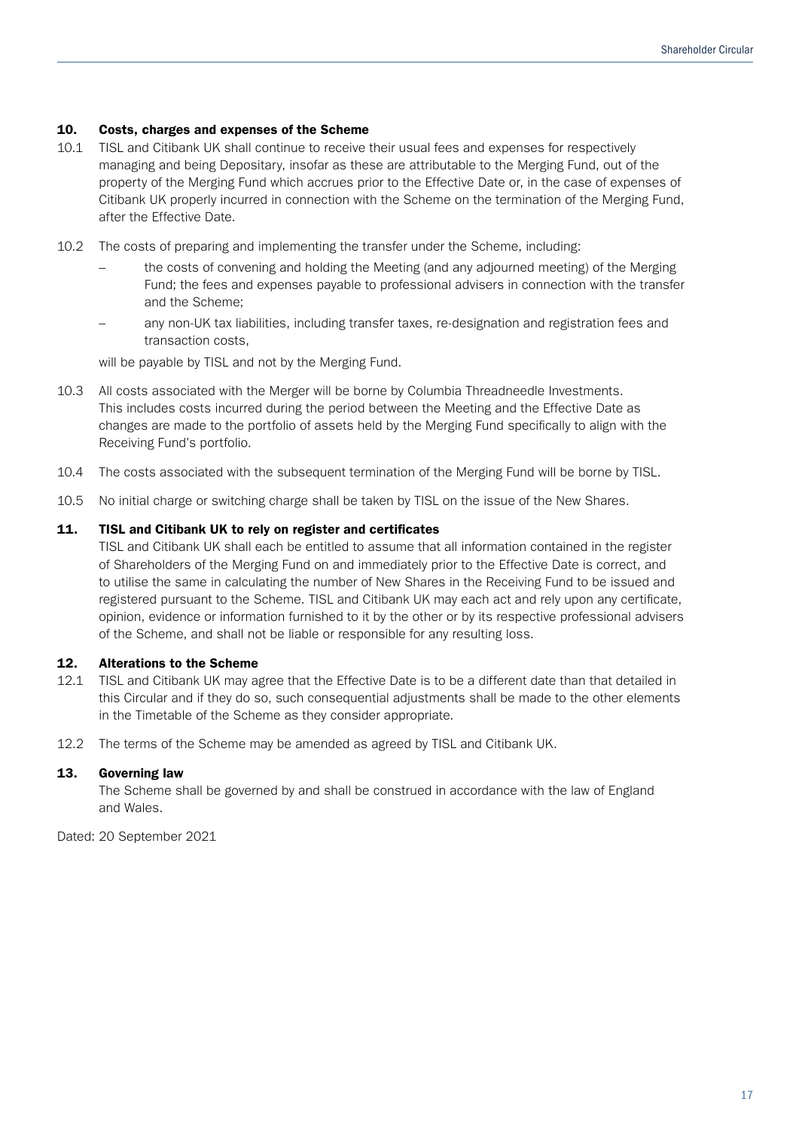### 10. Costs, charges and expenses of the Scheme

- 10.1 TISL and Citibank UK shall continue to receive their usual fees and expenses for respectively managing and being Depositary, insofar as these are attributable to the Merging Fund, out of the property of the Merging Fund which accrues prior to the Effective Date or, in the case of expenses of Citibank UK properly incurred in connection with the Scheme on the termination of the Merging Fund, after the Effective Date.
- 10.2 The costs of preparing and implementing the transfer under the Scheme, including:
	- the costs of convening and holding the Meeting (and any adjourned meeting) of the Merging Fund; the fees and expenses payable to professional advisers in connection with the transfer and the Scheme;
	- any non-UK tax liabilities, including transfer taxes, re-designation and registration fees and transaction costs,

will be payable by TISL and not by the Merging Fund.

- 10.3 All costs associated with the Merger will be borne by Columbia Threadneedle Investments. This includes costs incurred during the period between the Meeting and the Effective Date as changes are made to the portfolio of assets held by the Merging Fund specifically to align with the Receiving Fund's portfolio.
- 10.4 The costs associated with the subsequent termination of the Merging Fund will be borne by TISL.
- 10.5 No initial charge or switching charge shall be taken by TISL on the issue of the New Shares.

### 11. TISL and Citibank UK to rely on register and certificates

TISL and Citibank UK shall each be entitled to assume that all information contained in the register of Shareholders of the Merging Fund on and immediately prior to the Effective Date is correct, and to utilise the same in calculating the number of New Shares in the Receiving Fund to be issued and registered pursuant to the Scheme. TISL and Citibank UK may each act and rely upon any certificate, opinion, evidence or information furnished to it by the other or by its respective professional advisers of the Scheme, and shall not be liable or responsible for any resulting loss.

### 12. Alterations to the Scheme

- 12.1 TISL and Citibank UK may agree that the Effective Date is to be a different date than that detailed in this Circular and if they do so, such consequential adjustments shall be made to the other elements in the Timetable of the Scheme as they consider appropriate.
- 12.2 The terms of the Scheme may be amended as agreed by TISL and Citibank UK.

### 13. Governing law

The Scheme shall be governed by and shall be construed in accordance with the law of England and Wales.

Dated: 20 September 2021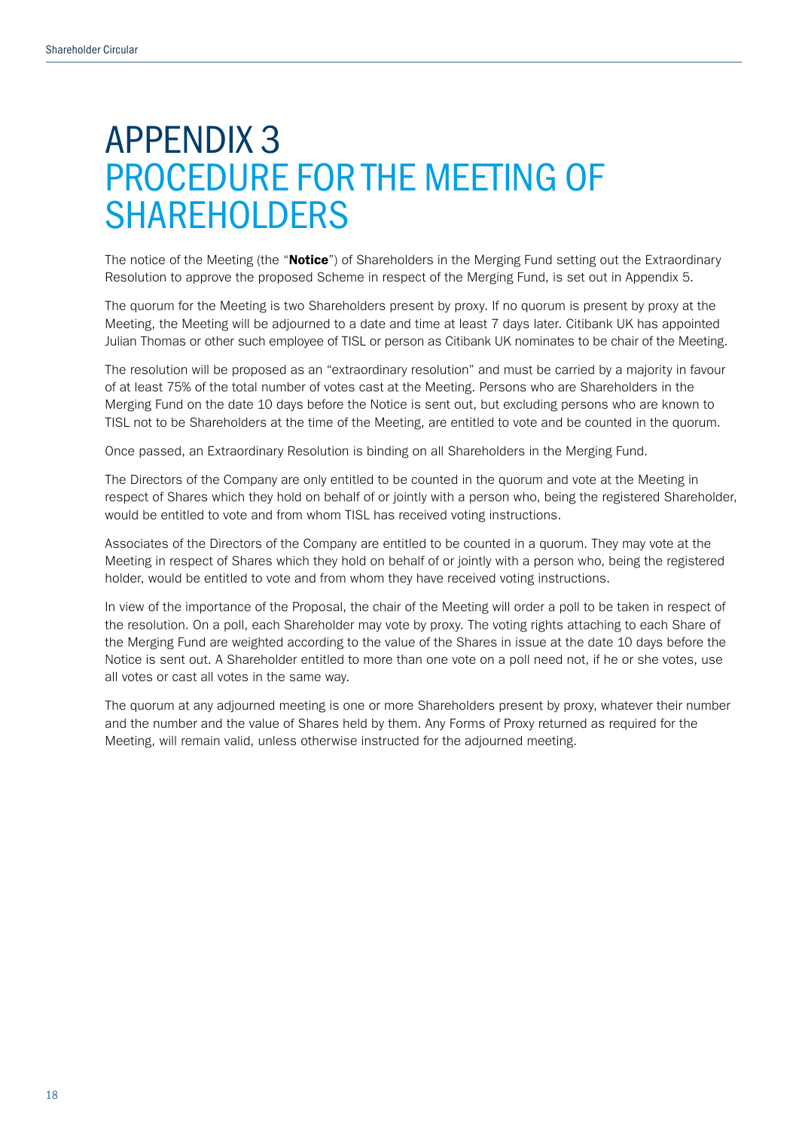# APPENDIX 3 PROCEDURE FOR THE MEETING OF SHAREHOLDERS

The notice of the Meeting (the "Notice") of Shareholders in the Merging Fund setting out the Extraordinary Resolution to approve the proposed Scheme in respect of the Merging Fund, is set out in Appendix 5.

The quorum for the Meeting is two Shareholders present by proxy. If no quorum is present by proxy at the Meeting, the Meeting will be adjourned to a date and time at least 7 days later. Citibank UK has appointed Julian Thomas or other such employee of TISL or person as Citibank UK nominates to be chair of the Meeting.

The resolution will be proposed as an "extraordinary resolution" and must be carried by a majority in favour of at least 75% of the total number of votes cast at the Meeting. Persons who are Shareholders in the Merging Fund on the date 10 days before the Notice is sent out, but excluding persons who are known to TISL not to be Shareholders at the time of the Meeting, are entitled to vote and be counted in the quorum.

Once passed, an Extraordinary Resolution is binding on all Shareholders in the Merging Fund.

The Directors of the Company are only entitled to be counted in the quorum and vote at the Meeting in respect of Shares which they hold on behalf of or jointly with a person who, being the registered Shareholder, would be entitled to vote and from whom TISL has received voting instructions.

Associates of the Directors of the Company are entitled to be counted in a quorum. They may vote at the Meeting in respect of Shares which they hold on behalf of or jointly with a person who, being the registered holder, would be entitled to vote and from whom they have received voting instructions.

In view of the importance of the Proposal, the chair of the Meeting will order a poll to be taken in respect of the resolution. On a poll, each Shareholder may vote by proxy. The voting rights attaching to each Share of the Merging Fund are weighted according to the value of the Shares in issue at the date 10 days before the Notice is sent out. A Shareholder entitled to more than one vote on a poll need not, if he or she votes, use all votes or cast all votes in the same way.

The quorum at any adjourned meeting is one or more Shareholders present by proxy, whatever their number and the number and the value of Shares held by them. Any Forms of Proxy returned as required for the Meeting, will remain valid, unless otherwise instructed for the adjourned meeting.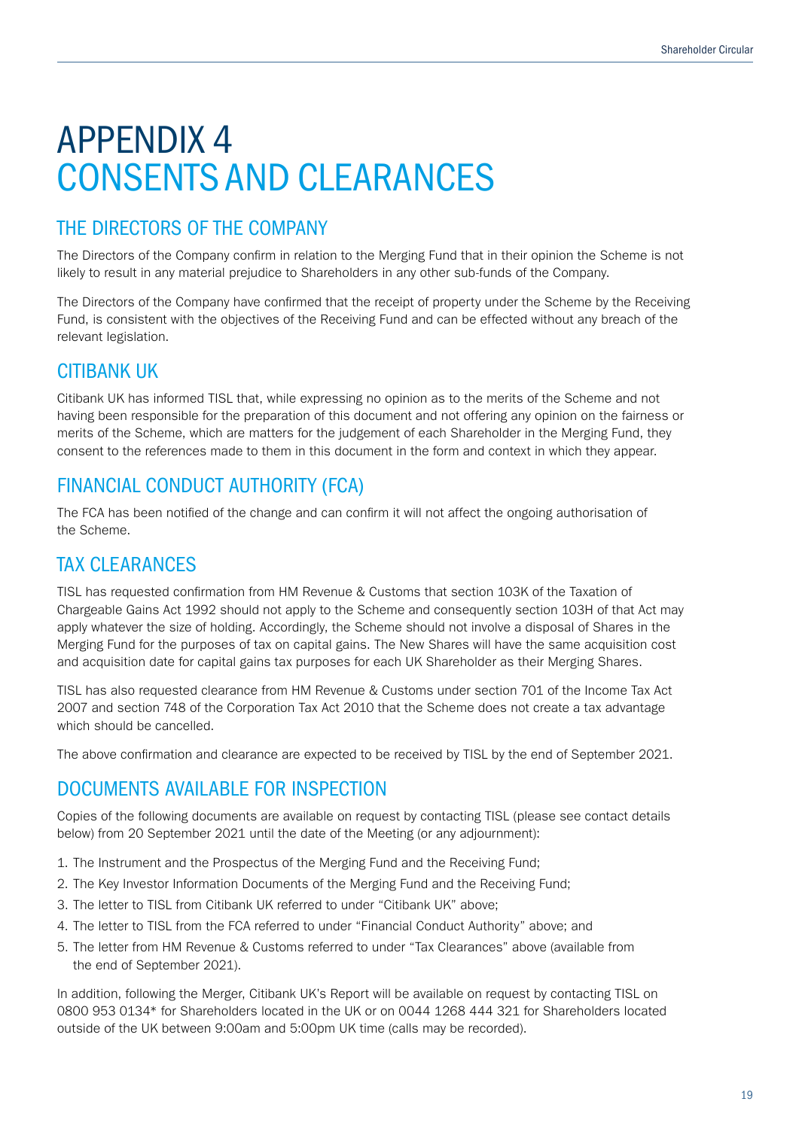# APPENDIX 4 CONSENTS AND CLEARANCES

### THE DIRECTORS OF THE COMPANY

The Directors of the Company confirm in relation to the Merging Fund that in their opinion the Scheme is not likely to result in any material prejudice to Shareholders in any other sub-funds of the Company.

The Directors of the Company have confirmed that the receipt of property under the Scheme by the Receiving Fund, is consistent with the objectives of the Receiving Fund and can be effected without any breach of the relevant legislation.

### CITIBANK UK

Citibank UK has informed TISL that, while expressing no opinion as to the merits of the Scheme and not having been responsible for the preparation of this document and not offering any opinion on the fairness or merits of the Scheme, which are matters for the judgement of each Shareholder in the Merging Fund, they consent to the references made to them in this document in the form and context in which they appear.

### FINANCIAL CONDUCT AUTHORITY (FCA)

The FCA has been notified of the change and can confirm it will not affect the ongoing authorisation of the Scheme.

### TAX CLEARANCES

TISL has requested confirmation from HM Revenue & Customs that section 103K of the Taxation of Chargeable Gains Act 1992 should not apply to the Scheme and consequently section 103H of that Act may apply whatever the size of holding. Accordingly, the Scheme should not involve a disposal of Shares in the Merging Fund for the purposes of tax on capital gains. The New Shares will have the same acquisition cost and acquisition date for capital gains tax purposes for each UK Shareholder as their Merging Shares.

TISL has also requested clearance from HM Revenue & Customs under section 701 of the Income Tax Act 2007 and section 748 of the Corporation Tax Act 2010 that the Scheme does not create a tax advantage which should be cancelled.

The above confirmation and clearance are expected to be received by TISL by the end of September 2021.

### DOCUMENTS AVAILABLE FOR INSPECTION

Copies of the following documents are available on request by contacting TISL (please see contact details below) from 20 September 2021 until the date of the Meeting (or any adjournment):

- 1. The Instrument and the Prospectus of the Merging Fund and the Receiving Fund;
- 2. The Key Investor Information Documents of the Merging Fund and the Receiving Fund;
- 3. The letter to TISL from Citibank UK referred to under "Citibank UK" above;
- 4. The letter to TISL from the FCA referred to under "Financial Conduct Authority" above; and
- 5. The letter from HM Revenue & Customs referred to under "Tax Clearances" above (available from the end of September 2021).

In addition, following the Merger, Citibank UK's Report will be available on request by contacting TISL on 0800 953 0134\* for Shareholders located in the UK or on 0044 1268 444 321 for Shareholders located outside of the UK between 9:00am and 5:00pm UK time (calls may be recorded).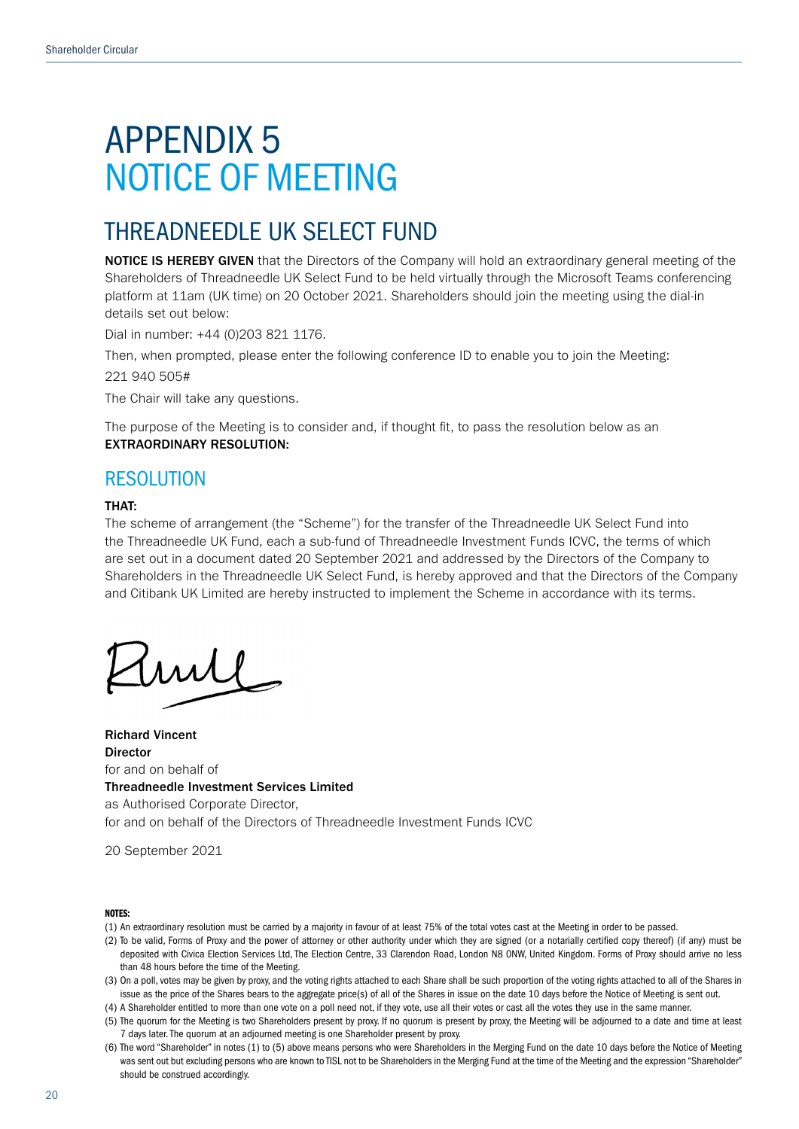# APPENDIX 5 NOTICE OF MEETING

## THREADNEEDLE UK SELECT FUND

NOTICE IS HEREBY GIVEN that the Directors of the Company will hold an extraordinary general meeting of the Shareholders of Threadneedle UK Select Fund to be held virtually through the Microsoft Teams conferencing platform at 11am (UK time) on 20 October 2021. Shareholders should join the meeting using the dial-in details set out below:

Dial in number: +44 (0)203 821 1176.

Then, when prompted, please enter the following conference ID to enable you to join the Meeting:

221 940 505#

The Chair will take any questions.

The purpose of the Meeting is to consider and, if thought fit, to pass the resolution below as an EXTRAORDINARY RESOLUTION:

### RESOLUTION

### THAT:

The scheme of arrangement (the "Scheme") for the transfer of the Threadneedle UK Select Fund into the Threadneedle UK Fund, each a sub-fund of Threadneedle Investment Funds ICVC, the terms of which are set out in a document dated 20 September 2021 and addressed by the Directors of the Company to Shareholders in the Threadneedle UK Select Fund, is hereby approved and that the Directors of the Company and Citibank UK Limited are hereby instructed to implement the Scheme in accordance with its terms.

my

Richard Vincent Director for and on behalf of Threadneedle Investment Services Limited as Authorised Corporate Director, for and on behalf of the Directors of Threadneedle Investment Funds ICVC

20 September 2021

#### NOTES:

- (1) An extraordinary resolution must be carried by a majority in favour of at least 75% of the total votes cast at the Meeting in order to be passed.
- (2) To be valid, Forms of Proxy and the power of attorney or other authority under which they are signed (or a notarially certified copy thereof) (if any) must be deposited with Civica Election Services Ltd, The Election Centre, 33 Clarendon Road, London N8 ONW, United Kingdom. Forms of Proxy should arrive no less than 48 hours before the time of the Meeting.
- (3) On a poll, votes may be given by proxy, and the voting rights attached to each Share shall be such proportion of the voting rights attached to all of the Shares in issue as the price of the Shares bears to the aggregate price(s) of all of the Shares in issue on the date 10 days before the Notice of Meeting is sent out.

(4) A Shareholder entitled to more than one vote on a poll need not, if they vote, use all their votes or cast all the votes they use in the same manner.

- (5) The quorum for the Meeting is two Shareholders present by proxy. If no quorum is present by proxy, the Meeting will be adjourned to a date and time at least 7 days later. The quorum at an adjourned meeting is one Shareholder present by proxy.
- (6) The word "Shareholder" in notes (1) to (5) above means persons who were Shareholders in the Merging Fund on the date 10 days before the Notice of Meeting was sent out but excluding persons who are known to TISL not to be Shareholders in the Merging Fund at the time of the Meeting and the expression "Shareholder" should be construed accordingly.